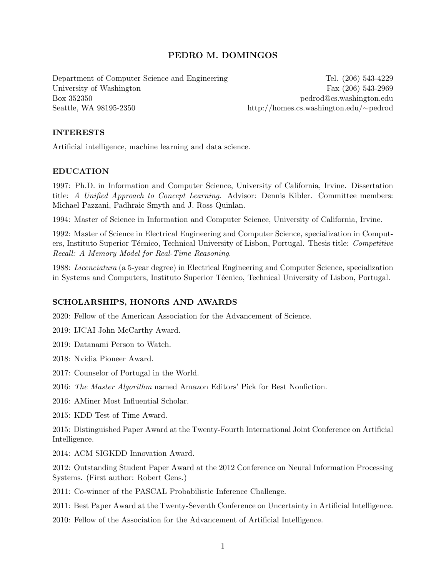# PEDRO M. DOMINGOS

Department of Computer Science and Engineering Tel. (206) 543-4229 University of Washington Fax (206) 543-2969 Box 352350 pedrod@cs.washington.edu Seattle, WA 98195-2350 http://homes.cs.washington.edu/∼pedrod

## INTERESTS

Artificial intelligence, machine learning and data science.

## EDUCATION

1997: Ph.D. in Information and Computer Science, University of California, Irvine. Dissertation title: A Unified Approach to Concept Learning. Advisor: Dennis Kibler. Committee members: Michael Pazzani, Padhraic Smyth and J. Ross Quinlan.

1994: Master of Science in Information and Computer Science, University of California, Irvine.

1992: Master of Science in Electrical Engineering and Computer Science, specialization in Computers, Instituto Superior Técnico, Technical University of Lisbon, Portugal. Thesis title: Competitive Recall: A Memory Model for Real-Time Reasoning.

1988: Licenciatura (a 5-year degree) in Electrical Engineering and Computer Science, specialization in Systems and Computers, Instituto Superior Técnico, Technical University of Lisbon, Portugal.

# SCHOLARSHIPS, HONORS AND AWARDS

2020: Fellow of the American Association for the Advancement of Science.

- 2019: IJCAI John McCarthy Award.
- 2019: Datanami Person to Watch.
- 2018: Nvidia Pioneer Award.
- 2017: Counselor of Portugal in the World.
- 2016: The Master Algorithm named Amazon Editors' Pick for Best Nonfiction.
- 2016: AMiner Most Influential Scholar.
- 2015: KDD Test of Time Award.

2015: Distinguished Paper Award at the Twenty-Fourth International Joint Conference on Artificial Intelligence.

2014: ACM SIGKDD Innovation Award.

2012: Outstanding Student Paper Award at the 2012 Conference on Neural Information Processing Systems. (First author: Robert Gens.)

2011: Co-winner of the PASCAL Probabilistic Inference Challenge.

2011: Best Paper Award at the Twenty-Seventh Conference on Uncertainty in Artificial Intelligence.

2010: Fellow of the Association for the Advancement of Artificial Intelligence.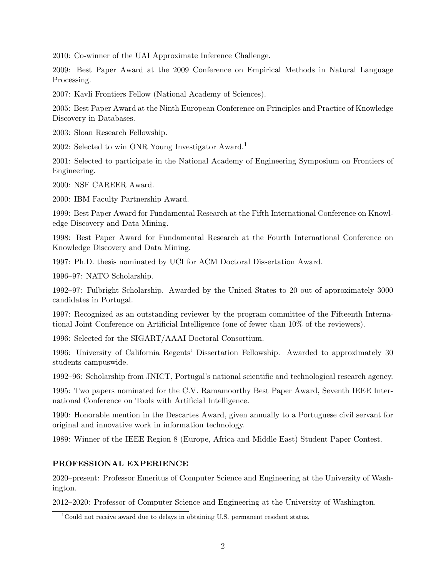2010: Co-winner of the UAI Approximate Inference Challenge.

2009: Best Paper Award at the 2009 Conference on Empirical Methods in Natural Language Processing.

2007: Kavli Frontiers Fellow (National Academy of Sciences).

2005: Best Paper Award at the Ninth European Conference on Principles and Practice of Knowledge Discovery in Databases.

2003: Sloan Research Fellowship.

2002: Selected to win ONR Young Investigator Award.<sup>1</sup>

2001: Selected to participate in the National Academy of Engineering Symposium on Frontiers of Engineering.

2000: NSF CAREER Award.

2000: IBM Faculty Partnership Award.

1999: Best Paper Award for Fundamental Research at the Fifth International Conference on Knowledge Discovery and Data Mining.

1998: Best Paper Award for Fundamental Research at the Fourth International Conference on Knowledge Discovery and Data Mining.

1997: Ph.D. thesis nominated by UCI for ACM Doctoral Dissertation Award.

1996–97: NATO Scholarship.

1992–97: Fulbright Scholarship. Awarded by the United States to 20 out of approximately 3000 candidates in Portugal.

1997: Recognized as an outstanding reviewer by the program committee of the Fifteenth International Joint Conference on Artificial Intelligence (one of fewer than 10% of the reviewers).

1996: Selected for the SIGART/AAAI Doctoral Consortium.

1996: University of California Regents' Dissertation Fellowship. Awarded to approximately 30 students campuswide.

1992–96: Scholarship from JNICT, Portugal's national scientific and technological research agency.

1995: Two papers nominated for the C.V. Ramamoorthy Best Paper Award, Seventh IEEE International Conference on Tools with Artificial Intelligence.

1990: Honorable mention in the Descartes Award, given annually to a Portuguese civil servant for original and innovative work in information technology.

1989: Winner of the IEEE Region 8 (Europe, Africa and Middle East) Student Paper Contest.

# PROFESSIONAL EXPERIENCE

2020–present: Professor Emeritus of Computer Science and Engineering at the University of Washington.

2012–2020: Professor of Computer Science and Engineering at the University of Washington.

<sup>&</sup>lt;sup>1</sup>Could not receive award due to delays in obtaining U.S. permanent resident status.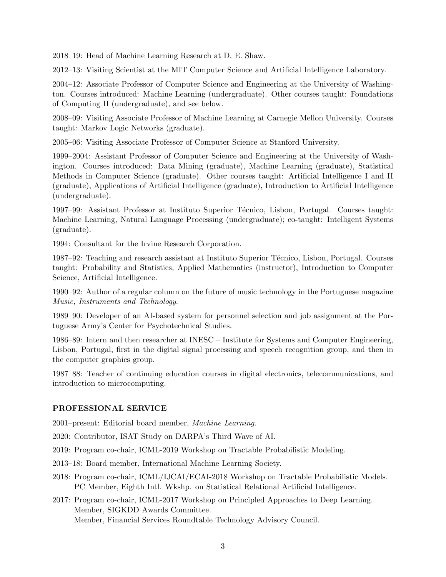2018–19: Head of Machine Learning Research at D. E. Shaw.

2012–13: Visiting Scientist at the MIT Computer Science and Artificial Intelligence Laboratory.

2004–12: Associate Professor of Computer Science and Engineering at the University of Washington. Courses introduced: Machine Learning (undergraduate). Other courses taught: Foundations of Computing II (undergraduate), and see below.

2008–09: Visiting Associate Professor of Machine Learning at Carnegie Mellon University. Courses taught: Markov Logic Networks (graduate).

2005–06: Visiting Associate Professor of Computer Science at Stanford University.

1999–2004: Assistant Professor of Computer Science and Engineering at the University of Washington. Courses introduced: Data Mining (graduate), Machine Learning (graduate), Statistical Methods in Computer Science (graduate). Other courses taught: Artificial Intelligence I and II (graduate), Applications of Artificial Intelligence (graduate), Introduction to Artificial Intelligence (undergraduate).

1997–99: Assistant Professor at Instituto Superior Técnico, Lisbon, Portugal. Courses taught: Machine Learning, Natural Language Processing (undergraduate); co-taught: Intelligent Systems (graduate).

1994: Consultant for the Irvine Research Corporation.

1987–92: Teaching and research assistant at Instituto Superior Técnico, Lisbon, Portugal. Courses taught: Probability and Statistics, Applied Mathematics (instructor), Introduction to Computer Science, Artificial Intelligence.

1990–92: Author of a regular column on the future of music technology in the Portuguese magazine Music, Instruments and Technology.

1989–90: Developer of an AI-based system for personnel selection and job assignment at the Portuguese Army's Center for Psychotechnical Studies.

1986–89: Intern and then researcher at INESC – Institute for Systems and Computer Engineering, Lisbon, Portugal, first in the digital signal processing and speech recognition group, and then in the computer graphics group.

1987–88: Teacher of continuing education courses in digital electronics, telecommunications, and introduction to microcomputing.

# PROFESSIONAL SERVICE

2001–present: Editorial board member, Machine Learning.

2020: Contributor, ISAT Study on DARPA's Third Wave of AI.

- 2019: Program co-chair, ICML-2019 Workshop on Tractable Probabilistic Modeling.
- 2013–18: Board member, International Machine Learning Society.
- 2018: Program co-chair, ICML/IJCAI/ECAI-2018 Workshop on Tractable Probabilistic Models. PC Member, Eighth Intl. Wkshp. on Statistical Relational Artificial Intelligence.

2017: Program co-chair, ICML-2017 Workshop on Principled Approaches to Deep Learning. Member, SIGKDD Awards Committee. Member, Financial Services Roundtable Technology Advisory Council.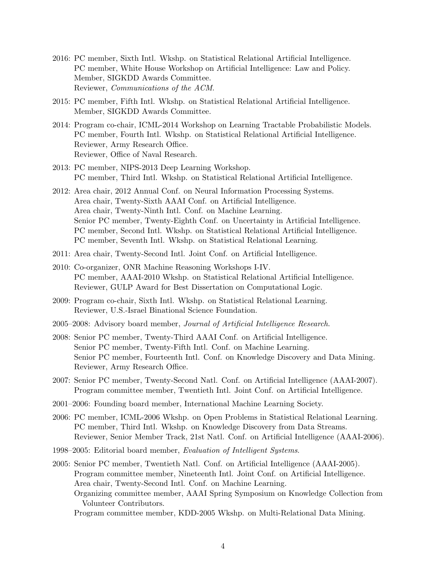- 2016: PC member, Sixth Intl. Wkshp. on Statistical Relational Artificial Intelligence. PC member, White House Workshop on Artificial Intelligence: Law and Policy. Member, SIGKDD Awards Committee. Reviewer, Communications of the ACM.
- 2015: PC member, Fifth Intl. Wkshp. on Statistical Relational Artificial Intelligence. Member, SIGKDD Awards Committee.
- 2014: Program co-chair, ICML-2014 Workshop on Learning Tractable Probabilistic Models. PC member, Fourth Intl. Wkshp. on Statistical Relational Artificial Intelligence. Reviewer, Army Research Office. Reviewer, Office of Naval Research.
- 2013: PC member, NIPS-2013 Deep Learning Workshop. PC member, Third Intl. Wkshp. on Statistical Relational Artificial Intelligence.
- 2012: Area chair, 2012 Annual Conf. on Neural Information Processing Systems. Area chair, Twenty-Sixth AAAI Conf. on Artificial Intelligence. Area chair, Twenty-Ninth Intl. Conf. on Machine Learning. Senior PC member, Twenty-Eighth Conf. on Uncertainty in Artificial Intelligence. PC member, Second Intl. Wkshp. on Statistical Relational Artificial Intelligence. PC member, Seventh Intl. Wkshp. on Statistical Relational Learning.
- 2011: Area chair, Twenty-Second Intl. Joint Conf. on Artificial Intelligence.
- 2010: Co-organizer, ONR Machine Reasoning Workshops I-IV. PC member, AAAI-2010 Wkshp. on Statistical Relational Artificial Intelligence. Reviewer, GULP Award for Best Dissertation on Computational Logic.
- 2009: Program co-chair, Sixth Intl. Wkshp. on Statistical Relational Learning. Reviewer, U.S.-Israel Binational Science Foundation.
- 2005–2008: Advisory board member, Journal of Artificial Intelligence Research.
- 2008: Senior PC member, Twenty-Third AAAI Conf. on Artificial Intelligence. Senior PC member, Twenty-Fifth Intl. Conf. on Machine Learning. Senior PC member, Fourteenth Intl. Conf. on Knowledge Discovery and Data Mining. Reviewer, Army Research Office.
- 2007: Senior PC member, Twenty-Second Natl. Conf. on Artificial Intelligence (AAAI-2007). Program committee member, Twentieth Intl. Joint Conf. on Artificial Intelligence.
- 2001–2006: Founding board member, International Machine Learning Society.
- 2006: PC member, ICML-2006 Wkshp. on Open Problems in Statistical Relational Learning. PC member, Third Intl. Wkshp. on Knowledge Discovery from Data Streams. Reviewer, Senior Member Track, 21st Natl. Conf. on Artificial Intelligence (AAAI-2006).
- 1998–2005: Editorial board member, Evaluation of Intelligent Systems.
- 2005: Senior PC member, Twentieth Natl. Conf. on Artificial Intelligence (AAAI-2005). Program committee member, Nineteenth Intl. Joint Conf. on Artificial Intelligence. Area chair, Twenty-Second Intl. Conf. on Machine Learning. Organizing committee member, AAAI Spring Symposium on Knowledge Collection from Volunteer Contributors.

Program committee member, KDD-2005 Wkshp. on Multi-Relational Data Mining.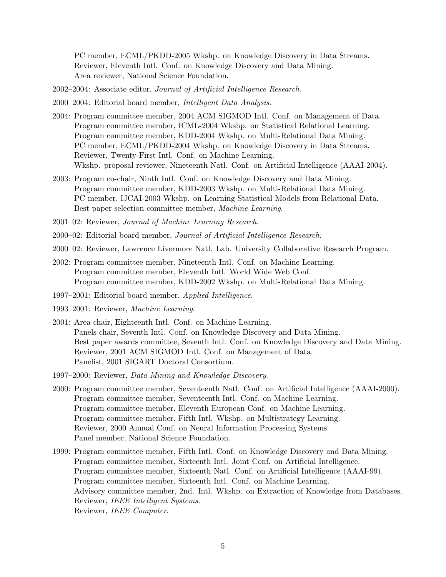PC member, ECML/PKDD-2005 Wkshp. on Knowledge Discovery in Data Streams. Reviewer, Eleventh Intl. Conf. on Knowledge Discovery and Data Mining. Area reviewer, National Science Foundation.

- 2002–2004: Associate editor, Journal of Artificial Intelligence Research.
- 2000–2004: Editorial board member, Intelligent Data Analysis.
- 2004: Program committee member, 2004 ACM SIGMOD Intl. Conf. on Management of Data. Program committee member, ICML-2004 Wkshp. on Statistical Relational Learning. Program committee member, KDD-2004 Wkshp. on Multi-Relational Data Mining. PC member, ECML/PKDD-2004 Wkshp. on Knowledge Discovery in Data Streams. Reviewer, Twenty-First Intl. Conf. on Machine Learning. Wkshp. proposal reviewer, Nineteenth Natl. Conf. on Artificial Intelligence (AAAI-2004).
- 2003: Program co-chair, Ninth Intl. Conf. on Knowledge Discovery and Data Mining. Program committee member, KDD-2003 Wkshp. on Multi-Relational Data Mining. PC member, IJCAI-2003 Wkshp. on Learning Statistical Models from Relational Data. Best paper selection committee member, Machine Learning.
- 2001–02: Reviewer, Journal of Machine Learning Research.
- 2000–02: Editorial board member, Journal of Artificial Intelligence Research.
- 2000–02: Reviewer, Lawrence Livermore Natl. Lab. University Collaborative Research Program.
- 2002: Program committee member, Nineteenth Intl. Conf. on Machine Learning. Program committee member, Eleventh Intl. World Wide Web Conf. Program committee member, KDD-2002 Wkshp. on Multi-Relational Data Mining.
- 1997–2001: Editorial board member, Applied Intelligence.
- 1993–2001: Reviewer, Machine Learning.
- 2001: Area chair, Eighteenth Intl. Conf. on Machine Learning. Panels chair, Seventh Intl. Conf. on Knowledge Discovery and Data Mining. Best paper awards committee, Seventh Intl. Conf. on Knowledge Discovery and Data Mining. Reviewer, 2001 ACM SIGMOD Intl. Conf. on Management of Data. Panelist, 2001 SIGART Doctoral Consortium.
- 1997–2000: Reviewer, Data Mining and Knowledge Discovery.
- 2000: Program committee member, Seventeenth Natl. Conf. on Artificial Intelligence (AAAI-2000). Program committee member, Seventeenth Intl. Conf. on Machine Learning. Program committee member, Eleventh European Conf. on Machine Learning. Program committee member, Fifth Intl. Wkshp. on Multistrategy Learning. Reviewer, 2000 Annual Conf. on Neural Information Processing Systems. Panel member, National Science Foundation.
- 1999: Program committee member, Fifth Intl. Conf. on Knowledge Discovery and Data Mining. Program committee member, Sixteenth Intl. Joint Conf. on Artificial Intelligence. Program committee member, Sixteenth Natl. Conf. on Artificial Intelligence (AAAI-99). Program committee member, Sixteenth Intl. Conf. on Machine Learning. Advisory committee member, 2nd. Intl. Wkshp. on Extraction of Knowledge from Databases. Reviewer, IEEE Intelligent Systems. Reviewer, IEEE Computer.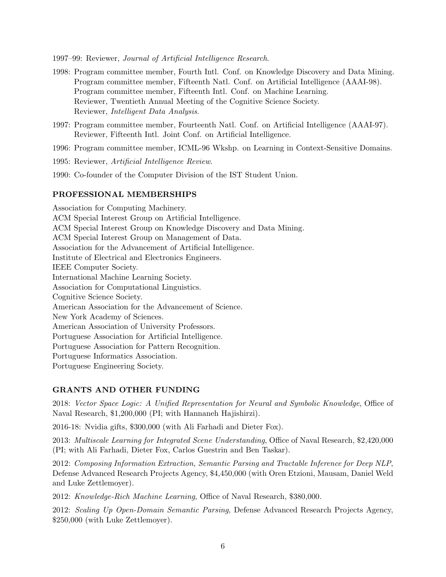1997–99: Reviewer, Journal of Artificial Intelligence Research.

- 1998: Program committee member, Fourth Intl. Conf. on Knowledge Discovery and Data Mining. Program committee member, Fifteenth Natl. Conf. on Artificial Intelligence (AAAI-98). Program committee member, Fifteenth Intl. Conf. on Machine Learning. Reviewer, Twentieth Annual Meeting of the Cognitive Science Society. Reviewer, Intelligent Data Analysis.
- 1997: Program committee member, Fourteenth Natl. Conf. on Artificial Intelligence (AAAI-97). Reviewer, Fifteenth Intl. Joint Conf. on Artificial Intelligence.
- 1996: Program committee member, ICML-96 Wkshp. on Learning in Context-Sensitive Domains.
- 1995: Reviewer, Artificial Intelligence Review.
- 1990: Co-founder of the Computer Division of the IST Student Union.

#### PROFESSIONAL MEMBERSHIPS

Association for Computing Machinery. ACM Special Interest Group on Artificial Intelligence. ACM Special Interest Group on Knowledge Discovery and Data Mining. ACM Special Interest Group on Management of Data. Association for the Advancement of Artificial Intelligence. Institute of Electrical and Electronics Engineers. IEEE Computer Society. International Machine Learning Society. Association for Computational Linguistics. Cognitive Science Society. American Association for the Advancement of Science. New York Academy of Sciences. American Association of University Professors. Portuguese Association for Artificial Intelligence. Portuguese Association for Pattern Recognition. Portuguese Informatics Association. Portuguese Engineering Society.

## GRANTS AND OTHER FUNDING

2018: Vector Space Logic: A Unified Representation for Neural and Symbolic Knowledge, Office of Naval Research, \$1,200,000 (PI; with Hannaneh Hajishirzi).

2016-18: Nvidia gifts, \$300,000 (with Ali Farhadi and Dieter Fox).

2013: Multiscale Learning for Integrated Scene Understanding, Office of Naval Research, \$2,420,000 (PI; with Ali Farhadi, Dieter Fox, Carlos Guestrin and Ben Taskar).

2012: Composing Information Extraction, Semantic Parsing and Tractable Inference for Deep NLP, Defense Advanced Research Projects Agency, \$4,450,000 (with Oren Etzioni, Mausam, Daniel Weld and Luke Zettlemoyer).

2012: Knowledge-Rich Machine Learning, Office of Naval Research, \$380,000.

2012: Scaling Up Open-Domain Semantic Parsing, Defense Advanced Research Projects Agency, \$250,000 (with Luke Zettlemoyer).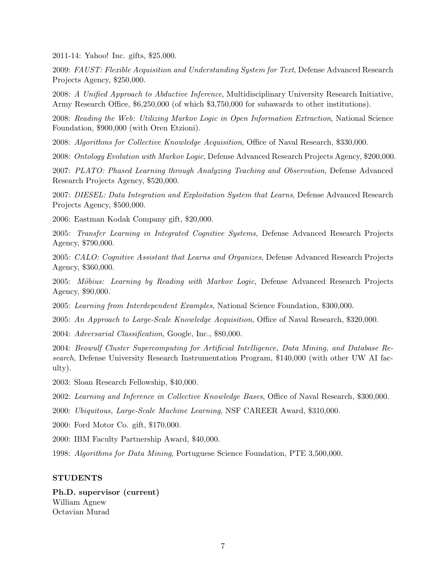2011-14: Yahoo! Inc. gifts, \$25,000.

2009: FAUST: Flexible Acquisition and Understanding System for Text, Defense Advanced Research Projects Agency, \$250,000.

2008: A Unified Approach to Abductive Inference, Multidisciplinary University Research Initiative, Army Research Office,  $$6,250,000$  (of which \$3,750,000 for subawards to other institutions).

2008: Reading the Web: Utilizing Markov Logic in Open Information Extraction, National Science Foundation, \$900,000 (with Oren Etzioni).

2008: Algorithms for Collective Knowledge Acquisition, Office of Naval Research, \$330,000.

2008: Ontology Evolution with Markov Logic, Defense Advanced Research Projects Agency, \$200,000.

2007: PLATO: Phased Learning through Analyzing Teaching and Observation, Defense Advanced Research Projects Agency, \$520,000.

2007: DIESEL: Data Integration and Exploitation System that Learns, Defense Advanced Research Projects Agency, \$500,000.

2006: Eastman Kodak Company gift, \$20,000.

2005: Transfer Learning in Integrated Cognitive Systems, Defense Advanced Research Projects Agency, \$790,000.

2005: CALO: Cognitive Assistant that Learns and Organizes, Defense Advanced Research Projects Agency, \$360,000.

2005: Möbius: Learning by Reading with Markov Logic, Defense Advanced Research Projects Agency, \$90,000.

2005: Learning from Interdependent Examples, National Science Foundation, \$300,000.

2005: An Approach to Large-Scale Knowledge Acquisition, Office of Naval Research, \$320,000.

2004: Adversarial Classification, Google, Inc., \$80,000.

2004: Beowulf Cluster Supercomputing for Artificial Intelligence, Data Mining, and Database Research, Defense University Research Instrumentation Program, \$140,000 (with other UW AI faculty).

2003: Sloan Research Fellowship, \$40,000.

2002: Learning and Inference in Collective Knowledge Bases, Office of Naval Research, \$300,000.

2000: Ubiquitous, Large-Scale Machine Learning, NSF CAREER Award, \$310,000.

2000: Ford Motor Co. gift, \$170,000.

2000: IBM Faculty Partnership Award, \$40,000.

1998: Algorithms for Data Mining, Portuguese Science Foundation, PTE 3,500,000.

#### STUDENTS

Ph.D. supervisor (current) William Agnew Octavian Murad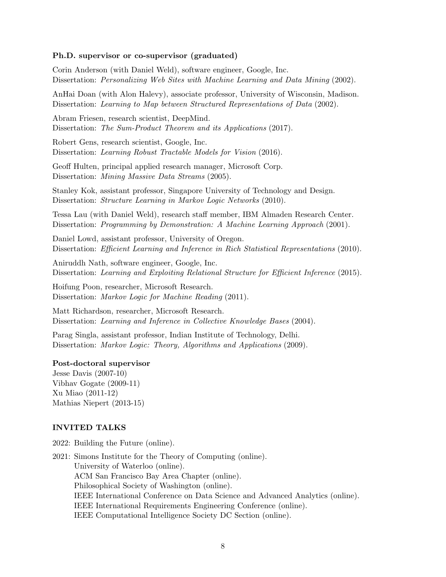#### Ph.D. supervisor or co-supervisor (graduated)

Corin Anderson (with Daniel Weld), software engineer, Google, Inc. Dissertation: Personalizing Web Sites with Machine Learning and Data Mining (2002).

AnHai Doan (with Alon Halevy), associate professor, University of Wisconsin, Madison. Dissertation: Learning to Map between Structured Representations of Data (2002).

Abram Friesen, research scientist, DeepMind. Dissertation: The Sum-Product Theorem and its Applications (2017).

Robert Gens, research scientist, Google, Inc. Dissertation: Learning Robust Tractable Models for Vision (2016).

Geoff Hulten, principal applied research manager, Microsoft Corp. Dissertation: Mining Massive Data Streams (2005).

Stanley Kok, assistant professor, Singapore University of Technology and Design. Dissertation: Structure Learning in Markov Logic Networks (2010).

Tessa Lau (with Daniel Weld), research staff member, IBM Almaden Research Center. Dissertation: Programming by Demonstration: A Machine Learning Approach (2001).

Daniel Lowd, assistant professor, University of Oregon. Dissertation: *Efficient Learning and Inference in Rich Statistical Representations* (2010).

Aniruddh Nath, software engineer, Google, Inc. Dissertation: Learning and Exploiting Relational Structure for Efficient Inference (2015).

Hoifung Poon, researcher, Microsoft Research. Dissertation: Markov Logic for Machine Reading (2011).

Matt Richardson, researcher, Microsoft Research. Dissertation: Learning and Inference in Collective Knowledge Bases (2004).

Parag Singla, assistant professor, Indian Institute of Technology, Delhi. Dissertation: Markov Logic: Theory, Algorithms and Applications (2009).

## Post-doctoral supervisor

Jesse Davis (2007-10) Vibhav Gogate (2009-11) Xu Miao (2011-12) Mathias Niepert (2013-15)

#### INVITED TALKS

- 2022: Building the Future (online).
- 2021: Simons Institute for the Theory of Computing (online). University of Waterloo (online). ACM San Francisco Bay Area Chapter (online). Philosophical Society of Washington (online). IEEE International Conference on Data Science and Advanced Analytics (online). IEEE International Requirements Engineering Conference (online). IEEE Computational Intelligence Society DC Section (online).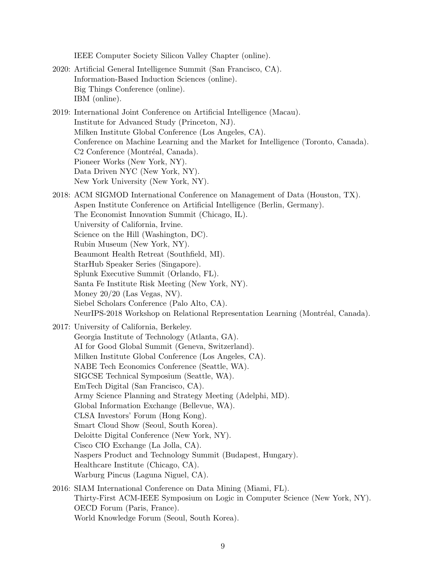- IEEE Computer Society Silicon Valley Chapter (online). 2020: Artificial General Intelligence Summit (San Francisco, CA). Information-Based Induction Sciences (online). Big Things Conference (online). IBM (online). 2019: International Joint Conference on Artificial Intelligence (Macau). Institute for Advanced Study (Princeton, NJ). Milken Institute Global Conference (Los Angeles, CA). Conference on Machine Learning and the Market for Intelligence (Toronto, Canada). C<sub>2</sub> Conference (Montréal, Canada). Pioneer Works (New York, NY). Data Driven NYC (New York, NY). New York University (New York, NY). 2018: ACM SIGMOD International Conference on Management of Data (Houston, TX). Aspen Institute Conference on Artificial Intelligence (Berlin, Germany). The Economist Innovation Summit (Chicago, IL). University of California, Irvine. Science on the Hill (Washington, DC). Rubin Museum (New York, NY). Beaumont Health Retreat (Southfield, MI). StarHub Speaker Series (Singapore). Splunk Executive Summit (Orlando, FL). Santa Fe Institute Risk Meeting (New York, NY). Money 20/20 (Las Vegas, NV). Siebel Scholars Conference (Palo Alto, CA). NeurIPS-2018 Workshop on Relational Representation Learning (Montréal, Canada). 2017: University of California, Berkeley. Georgia Institute of Technology (Atlanta, GA). AI for Good Global Summit (Geneva, Switzerland). Milken Institute Global Conference (Los Angeles, CA). NABE Tech Economics Conference (Seattle, WA). SIGCSE Technical Symposium (Seattle, WA).
	- EmTech Digital (San Francisco, CA).
	- Army Science Planning and Strategy Meeting (Adelphi, MD).
	- Global Information Exchange (Bellevue, WA).
	- CLSA Investors' Forum (Hong Kong).
	- Smart Cloud Show (Seoul, South Korea).
	- Deloitte Digital Conference (New York, NY).
	- Cisco CIO Exchange (La Jolla, CA).
	- Naspers Product and Technology Summit (Budapest, Hungary).
	- Healthcare Institute (Chicago, CA).
	- Warburg Pincus (Laguna Niguel, CA).
- 2016: SIAM International Conference on Data Mining (Miami, FL). Thirty-First ACM-IEEE Symposium on Logic in Computer Science (New York, NY). OECD Forum (Paris, France). World Knowledge Forum (Seoul, South Korea).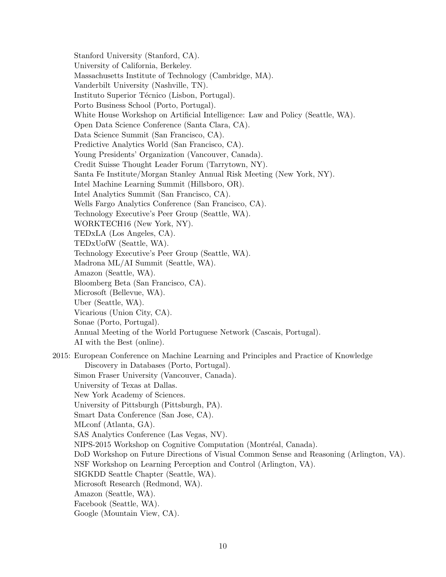Stanford University (Stanford, CA). University of California, Berkeley. Massachusetts Institute of Technology (Cambridge, MA). Vanderbilt University (Nashville, TN). Instituto Superior Técnico (Lisbon, Portugal). Porto Business School (Porto, Portugal). White House Workshop on Artificial Intelligence: Law and Policy (Seattle, WA). Open Data Science Conference (Santa Clara, CA). Data Science Summit (San Francisco, CA). Predictive Analytics World (San Francisco, CA). Young Presidents' Organization (Vancouver, Canada). Credit Suisse Thought Leader Forum (Tarrytown, NY). Santa Fe Institute/Morgan Stanley Annual Risk Meeting (New York, NY). Intel Machine Learning Summit (Hillsboro, OR). Intel Analytics Summit (San Francisco, CA). Wells Fargo Analytics Conference (San Francisco, CA). Technology Executive's Peer Group (Seattle, WA). WORKTECH16 (New York, NY). TEDxLA (Los Angeles, CA). TEDxUofW (Seattle, WA). Technology Executive's Peer Group (Seattle, WA). Madrona ML/AI Summit (Seattle, WA). Amazon (Seattle, WA). Bloomberg Beta (San Francisco, CA). Microsoft (Bellevue, WA). Uber (Seattle, WA). Vicarious (Union City, CA). Sonae (Porto, Portugal). Annual Meeting of the World Portuguese Network (Cascais, Portugal). AI with the Best (online). 2015: European Conference on Machine Learning and Principles and Practice of Knowledge Discovery in Databases (Porto, Portugal). Simon Fraser University (Vancouver, Canada). University of Texas at Dallas. New York Academy of Sciences. University of Pittsburgh (Pittsburgh, PA). Smart Data Conference (San Jose, CA). MLconf (Atlanta, GA). SAS Analytics Conference (Las Vegas, NV). NIPS-2015 Workshop on Cognitive Computation (Montréal, Canada). DoD Workshop on Future Directions of Visual Common Sense and Reasoning (Arlington, VA). NSF Workshop on Learning Perception and Control (Arlington, VA). SIGKDD Seattle Chapter (Seattle, WA). Microsoft Research (Redmond, WA). Amazon (Seattle, WA). Facebook (Seattle, WA). Google (Mountain View, CA).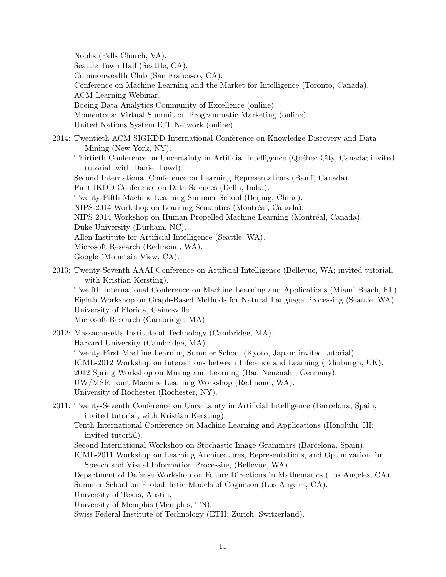Noblis (Falls Church, VA). Seattle Town Hall (Seattle, CA). Commonwealth Club (San Francisco, CA). Conference on Machine Learning and the Market for Intelligence (Toronto, Canada). ACM Learning Webinar. Boeing Data Analytics Community of Excellence (online). Momentous: Virtual Summit on Programmatic Marketing (online). United Nations System ICT Network (online). 2014: Twentieth ACM SIGKDD International Conference on Knowledge Discovery and Data Mining (New York, NY). Thirtieth Conference on Uncertainty in Artificial Intelligence (Québec City, Canada; invited tutorial, with Daniel Lowd). Second International Conference on Learning Representations (Banff, Canada). First IKDD Conference on Data Sciences (Delhi, India). Twenty-Fifth Machine Learning Summer School (Beijing, China). NIPS-2014 Workshop on Learning Semantics (Montréal, Canada). NIPS-2014 Workshop on Human-Propelled Machine Learning (Montréal, Canada). Duke University (Durham, NC). Allen Institute for Artificial Intelligence (Seattle, WA). Microsoft Research (Redmond, WA). Google (Mountain View, CA).

2013: Twenty-Seventh AAAI Conference on Artificial Intelligence (Bellevue, WA; invited tutorial, with Kristian Kersting).

Twelfth International Conference on Machine Learning and Applications (Miami Beach, FL). Eighth Workshop on Graph-Based Methods for Natural Language Processing (Seattle, WA). University of Florida, Gainesville.

Microsoft Research (Cambridge, MA).

2012: Massachusetts Institute of Technology (Cambridge, MA). Harvard University (Cambridge, MA). Twenty-First Machine Learning Summer School (Kyoto, Japan; invited tutorial). ICML-2012 Workshop on Interactions between Inference and Learning (Edinburgh, UK). 2012 Spring Workshop on Mining and Learning (Bad Neuenahr, Germany). UW/MSR Joint Machine Learning Workshop (Redmond, WA). University of Rochester (Rochester, NY).

2011: Twenty-Seventh Conference on Uncertainty in Artificial Intelligence (Barcelona, Spain; invited tutorial, with Kristian Kersting).

Tenth International Conference on Machine Learning and Applications (Honolulu, HI; invited tutorial).

Second International Workshop on Stochastic Image Grammars (Barcelona, Spain).

ICML-2011 Workshop on Learning Architectures, Representations, and Optimization for Speech and Visual Information Processing (Bellevue, WA).

Department of Defense Workshop on Future Directions in Mathematics (Los Angeles, CA). Summer School on Probabilistic Models of Cognition (Los Angeles, CA).

University of Texas, Austin.

University of Memphis (Memphis, TN).

Swiss Federal Institute of Technology (ETH; Zurich, Switzerland).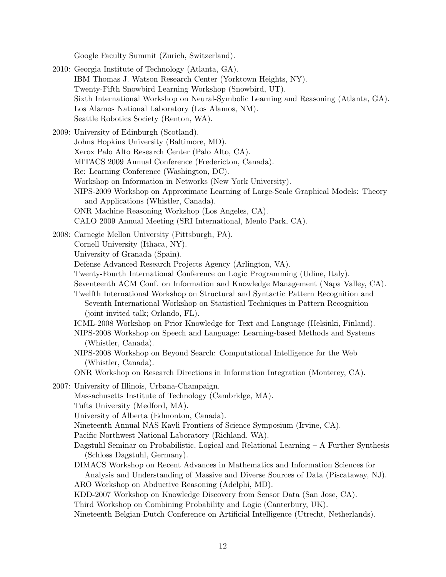Google Faculty Summit (Zurich, Switzerland).

2010: Georgia Institute of Technology (Atlanta, GA). IBM Thomas J. Watson Research Center (Yorktown Heights, NY). Twenty-Fifth Snowbird Learning Workshop (Snowbird, UT). Sixth International Workshop on Neural-Symbolic Learning and Reasoning (Atlanta, GA). Los Alamos National Laboratory (Los Alamos, NM). Seattle Robotics Society (Renton, WA). 2009: University of Edinburgh (Scotland). Johns Hopkins University (Baltimore, MD). Xerox Palo Alto Research Center (Palo Alto, CA). MITACS 2009 Annual Conference (Fredericton, Canada). Re: Learning Conference (Washington, DC). Workshop on Information in Networks (New York University). NIPS-2009 Workshop on Approximate Learning of Large-Scale Graphical Models: Theory and Applications (Whistler, Canada). ONR Machine Reasoning Workshop (Los Angeles, CA). CALO 2009 Annual Meeting (SRI International, Menlo Park, CA). 2008: Carnegie Mellon University (Pittsburgh, PA). Cornell University (Ithaca, NY). University of Granada (Spain). Defense Advanced Research Projects Agency (Arlington, VA). Twenty-Fourth International Conference on Logic Programming (Udine, Italy). Seventeenth ACM Conf. on Information and Knowledge Management (Napa Valley, CA). Twelfth International Workshop on Structural and Syntactic Pattern Recognition and Seventh International Workshop on Statistical Techniques in Pattern Recognition (joint invited talk; Orlando, FL). ICML-2008 Workshop on Prior Knowledge for Text and Language (Helsinki, Finland). NIPS-2008 Workshop on Speech and Language: Learning-based Methods and Systems (Whistler, Canada). NIPS-2008 Workshop on Beyond Search: Computational Intelligence for the Web (Whistler, Canada). ONR Workshop on Research Directions in Information Integration (Monterey, CA). 2007: University of Illinois, Urbana-Champaign. Massachusetts Institute of Technology (Cambridge, MA). Tufts University (Medford, MA). University of Alberta (Edmonton, Canada). Nineteenth Annual NAS Kavli Frontiers of Science Symposium (Irvine, CA). Pacific Northwest National Laboratory (Richland, WA). Dagstuhl Seminar on Probabilistic, Logical and Relational Learning – A Further Synthesis (Schloss Dagstuhl, Germany). DIMACS Workshop on Recent Advances in Mathematics and Information Sciences for Analysis and Understanding of Massive and Diverse Sources of Data (Piscataway, NJ). ARO Workshop on Abductive Reasoning (Adelphi, MD). KDD-2007 Workshop on Knowledge Discovery from Sensor Data (San Jose, CA). Third Workshop on Combining Probability and Logic (Canterbury, UK). Nineteenth Belgian-Dutch Conference on Artificial Intelligence (Utrecht, Netherlands).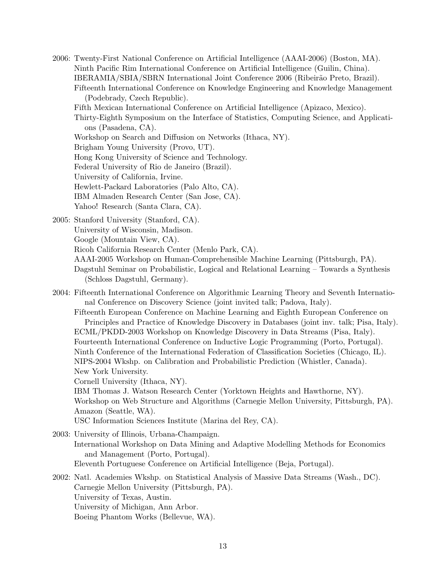2006: Twenty-First National Conference on Artificial Intelligence (AAAI-2006) (Boston, MA). Ninth Pacific Rim International Conference on Artificial Intelligence (Guilin, China). IBERAMIA/SBIA/SBRN International Joint Conference 2006 (Ribeir˜ao Preto, Brazil). Fifteenth International Conference on Knowledge Engineering and Knowledge Management (Podebrady, Czech Republic).

Fifth Mexican International Conference on Artificial Intelligence (Apizaco, Mexico).

Thirty-Eighth Symposium on the Interface of Statistics, Computing Science, and Applications (Pasadena, CA).

- Workshop on Search and Diffusion on Networks (Ithaca, NY).
- Brigham Young University (Provo, UT).
- Hong Kong University of Science and Technology.
- Federal University of Rio de Janeiro (Brazil).
- University of California, Irvine.
- Hewlett-Packard Laboratories (Palo Alto, CA).
- IBM Almaden Research Center (San Jose, CA).
- Yahoo! Research (Santa Clara, CA).
- 2005: Stanford University (Stanford, CA).
	- University of Wisconsin, Madison.
	- Google (Mountain View, CA).
	- Ricoh California Research Center (Menlo Park, CA).
	- AAAI-2005 Workshop on Human-Comprehensible Machine Learning (Pittsburgh, PA).
	- Dagstuhl Seminar on Probabilistic, Logical and Relational Learning Towards a Synthesis (Schloss Dagstuhl, Germany).
- 2004: Fifteenth International Conference on Algorithmic Learning Theory and Seventh International Conference on Discovery Science (joint invited talk; Padova, Italy).

Fifteenth European Conference on Machine Learning and Eighth European Conference on Principles and Practice of Knowledge Discovery in Databases (joint inv. talk; Pisa, Italy). ECML/PKDD-2003 Workshop on Knowledge Discovery in Data Streams (Pisa, Italy). Fourteenth International Conference on Inductive Logic Programming (Porto, Portugal). Ninth Conference of the International Federation of Classification Societies (Chicago, IL). NIPS-2004 Wkshp. on Calibration and Probabilistic Prediction (Whistler, Canada). New York University.

Cornell University (Ithaca, NY).

IBM Thomas J. Watson Research Center (Yorktown Heights and Hawthorne, NY). Workshop on Web Structure and Algorithms (Carnegie Mellon University, Pittsburgh, PA). Amazon (Seattle, WA).

USC Information Sciences Institute (Marina del Rey, CA).

- 2003: University of Illinois, Urbana-Champaign. International Workshop on Data Mining and Adaptive Modelling Methods for Economics and Management (Porto, Portugal). Eleventh Portuguese Conference on Artificial Intelligence (Beja, Portugal).
- 2002: Natl. Academies Wkshp. on Statistical Analysis of Massive Data Streams (Wash., DC). Carnegie Mellon University (Pittsburgh, PA). University of Texas, Austin. University of Michigan, Ann Arbor. Boeing Phantom Works (Bellevue, WA).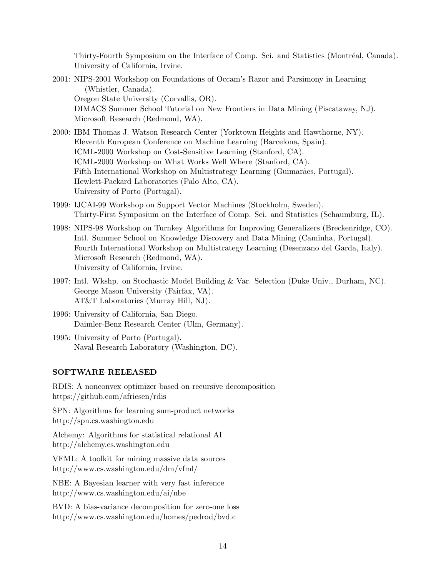Thirty-Fourth Symposium on the Interface of Comp. Sci. and Statistics (Montréal, Canada). University of California, Irvine.

- 2001: NIPS-2001 Workshop on Foundations of Occam's Razor and Parsimony in Learning (Whistler, Canada). Oregon State University (Corvallis, OR). DIMACS Summer School Tutorial on New Frontiers in Data Mining (Piscataway, NJ). Microsoft Research (Redmond, WA).
- 2000: IBM Thomas J. Watson Research Center (Yorktown Heights and Hawthorne, NY). Eleventh European Conference on Machine Learning (Barcelona, Spain). ICML-2000 Workshop on Cost-Sensitive Learning (Stanford, CA). ICML-2000 Workshop on What Works Well Where (Stanford, CA). Fifth International Workshop on Multistrategy Learning (Guimarães, Portugal). Hewlett-Packard Laboratories (Palo Alto, CA). University of Porto (Portugal).
- 1999: IJCAI-99 Workshop on Support Vector Machines (Stockholm, Sweden). Thirty-First Symposium on the Interface of Comp. Sci. and Statistics (Schaumburg, IL).
- 1998: NIPS-98 Workshop on Turnkey Algorithms for Improving Generalizers (Breckenridge, CO). Intl. Summer School on Knowledge Discovery and Data Mining (Caminha, Portugal). Fourth International Workshop on Multistrategy Learning (Desenzano del Garda, Italy). Microsoft Research (Redmond, WA). University of California, Irvine.
- 1997: Intl. Wkshp. on Stochastic Model Building & Var. Selection (Duke Univ., Durham, NC). George Mason University (Fairfax, VA). AT&T Laboratories (Murray Hill, NJ).
- 1996: University of California, San Diego. Daimler-Benz Research Center (Ulm, Germany).
- 1995: University of Porto (Portugal). Naval Research Laboratory (Washington, DC).

# SOFTWARE RELEASED

RDIS: A nonconvex optimizer based on recursive decomposition https://github.com/afriesen/rdis

SPN: Algorithms for learning sum-product networks http://spn.cs.washington.edu

Alchemy: Algorithms for statistical relational AI http://alchemy.cs.washington.edu

VFML: A toolkit for mining massive data sources http://www.cs.washington.edu/dm/vfml/

NBE: A Bayesian learner with very fast inference http://www.cs.washington.edu/ai/nbe

BVD: A bias-variance decomposition for zero-one loss http://www.cs.washington.edu/homes/pedrod/bvd.c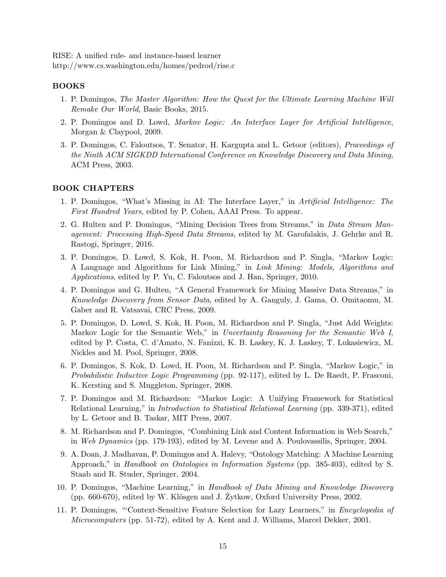RISE: A unified rule- and instance-based learner http://www.cs.washington.edu/homes/pedrod/rise.c

## BOOKS

- 1. P. Domingos, The Master Algorithm: How the Quest for the Ultimate Learning Machine Will Remake Our World, Basic Books, 2015.
- 2. P. Domingos and D. Lowd, Markov Logic: An Interface Layer for Artificial Intelligence, Morgan & Claypool, 2009.
- 3. P. Domingos, C. Faloutsos, T. Senator, H. Kargupta and L. Getoor (editors), Proceedings of the Ninth ACM SIGKDD International Conference on Knowledge Discovery and Data Mining, ACM Press, 2003.

## BOOK CHAPTERS

- 1. P. Domingos, "What's Missing in AI: The Interface Layer," in Artificial Intelligence: The First Hundred Years, edited by P. Cohen, AAAI Press. To appear.
- 2. G. Hulten and P. Domingos, "Mining Decision Trees from Streams," in *Data Stream Man*agement: Processing High-Speed Data Streams, edited by M. Garofalakis, J. Gehrke and R. Rastogi, Springer, 2016.
- 3. P. Domingos, D. Lowd, S. Kok, H. Poon, M. Richardson and P. Singla, "Markov Logic: A Language and Algorithms for Link Mining," in Link Mining: Models, Algorithms and Applications, edited by P. Yu, C. Faloutsos and J. Han, Springer, 2010.
- 4. P. Domingos and G. Hulten, "A General Framework for Mining Massive Data Streams," in Knowledge Discovery from Sensor Data, edited by A. Ganguly, J. Gama, O. Omitaomu, M. Gaber and R. Vatsavai, CRC Press, 2009.
- 5. P. Domingos, D. Lowd, S. Kok, H. Poon, M. Richardson and P. Singla, "Just Add Weights: Markov Logic for the Semantic Web," in Uncertainty Reasoning for the Semantic Web I, edited by P. Costa, C. d'Amato, N. Fanizzi, K. B. Laskey, K. J. Laskey, T. Lukasiewicz, M. Nickles and M. Pool, Springer, 2008.
- 6. P. Domingos, S. Kok, D. Lowd, H. Poon, M. Richardson and P. Singla, "Markov Logic," in Probabilistic Inductive Logic Programming (pp. 92-117), edited by L. De Raedt, P. Frasconi, K. Kersting and S. Muggleton, Springer, 2008.
- 7. P. Domingos and M. Richardson: "Markov Logic: A Unifying Framework for Statistical Relational Learning," in Introduction to Statistical Relational Learning (pp. 339-371), edited by L. Getoor and B. Taskar, MIT Press, 2007.
- 8. M. Richardson and P. Domingos, "Combining Link and Content Information in Web Search," in Web Dynamics (pp. 179-193), edited by M. Levene and A. Poulovassilis, Springer, 2004.
- 9. A. Doan, J. Madhavan, P. Domingos and A. Halevy, "Ontology Matching: A Machine Learning Approach," in Handbook on Ontologies in Information Systems (pp. 385-403), edited by S. Staab and R. Studer, Springer, 2004.
- 10. P. Domingos, "Machine Learning," in Handbook of Data Mining and Knowledge Discovery  $(pp. 660-670)$ , edited by W. Klösgen and J. Zytkow, Oxford University Press, 2002.
- 11. P. Domingos, "'Context-Sensitive Feature Selection for Lazy Learners," in Encyclopedia of Microcomputers (pp. 51-72), edited by A. Kent and J. Williams, Marcel Dekker, 2001.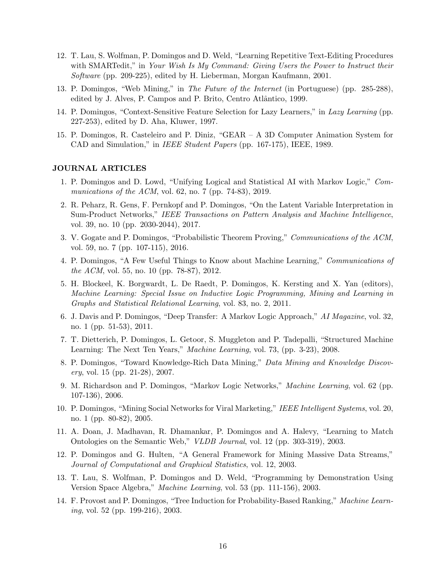- 12. T. Lau, S. Wolfman, P. Domingos and D. Weld, "Learning Repetitive Text-Editing Procedures with SMARTedit," in Your Wish Is My Command: Giving Users the Power to Instruct their Software (pp. 209-225), edited by H. Lieberman, Morgan Kaufmann, 2001.
- 13. P. Domingos, "Web Mining," in The Future of the Internet (in Portuguese) (pp. 285-288), edited by J. Alves, P. Campos and P. Brito, Centro Atlântico, 1999.
- 14. P. Domingos, "Context-Sensitive Feature Selection for Lazy Learners," in Lazy Learning (pp. 227-253), edited by D. Aha, Kluwer, 1997.
- 15. P. Domingos, R. Casteleiro and P. Diniz, "GEAR A 3D Computer Animation System for CAD and Simulation," in IEEE Student Papers (pp. 167-175), IEEE, 1989.

## JOURNAL ARTICLES

- 1. P. Domingos and D. Lowd, "Unifying Logical and Statistical AI with Markov Logic," Communications of the ACM, vol. 62, no. 7 (pp. 74-83), 2019.
- 2. R. Peharz, R. Gens, F. Pernkopf and P. Domingos, "On the Latent Variable Interpretation in Sum-Product Networks," IEEE Transactions on Pattern Analysis and Machine Intelligence, vol. 39, no. 10 (pp. 2030-2044), 2017.
- 3. V. Gogate and P. Domingos, "Probabilistic Theorem Proving," Communications of the ACM, vol. 59, no. 7 (pp. 107-115), 2016.
- 4. P. Domingos, "A Few Useful Things to Know about Machine Learning," Communications of the ACM, vol. 55, no. 10 (pp. 78-87), 2012.
- 5. H. Blockeel, K. Borgwardt, L. De Raedt, P. Domingos, K. Kersting and X. Yan (editors), Machine Learning: Special Issue on Inductive Logic Programming, Mining and Learning in Graphs and Statistical Relational Learning, vol. 83, no. 2, 2011.
- 6. J. Davis and P. Domingos, "Deep Transfer: A Markov Logic Approach," AI Magazine, vol. 32, no. 1 (pp. 51-53), 2011.
- 7. T. Dietterich, P. Domingos, L. Getoor, S. Muggleton and P. Tadepalli, "Structured Machine Learning: The Next Ten Years," Machine Learning, vol. 73, (pp. 3-23), 2008.
- 8. P. Domingos, "Toward Knowledge-Rich Data Mining," Data Mining and Knowledge Discovery, vol. 15 (pp. 21-28), 2007.
- 9. M. Richardson and P. Domingos, "Markov Logic Networks," Machine Learning, vol. 62 (pp. 107-136), 2006.
- 10. P. Domingos, "Mining Social Networks for Viral Marketing," IEEE Intelligent Systems, vol. 20, no. 1 (pp. 80-82), 2005.
- 11. A. Doan, J. Madhavan, R. Dhamankar, P. Domingos and A. Halevy, "Learning to Match Ontologies on the Semantic Web," VLDB Journal, vol. 12 (pp. 303-319), 2003.
- 12. P. Domingos and G. Hulten, "A General Framework for Mining Massive Data Streams," Journal of Computational and Graphical Statistics, vol. 12, 2003.
- 13. T. Lau, S. Wolfman, P. Domingos and D. Weld, "Programming by Demonstration Using Version Space Algebra," Machine Learning, vol. 53 (pp. 111-156), 2003.
- 14. F. Provost and P. Domingos, "Tree Induction for Probability-Based Ranking," Machine Learning, vol. 52 (pp. 199-216), 2003.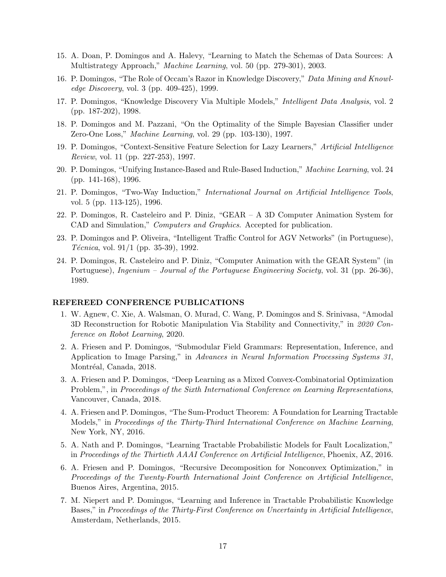- 15. A. Doan, P. Domingos and A. Halevy, "Learning to Match the Schemas of Data Sources: A Multistrategy Approach," Machine Learning, vol. 50 (pp. 279-301), 2003.
- 16. P. Domingos, "The Role of Occam's Razor in Knowledge Discovery," Data Mining and Knowledge Discovery, vol. 3 (pp. 409-425), 1999.
- 17. P. Domingos, "Knowledge Discovery Via Multiple Models," Intelligent Data Analysis, vol. 2 (pp. 187-202), 1998.
- 18. P. Domingos and M. Pazzani, "On the Optimality of the Simple Bayesian Classifier under Zero-One Loss," Machine Learning, vol. 29 (pp. 103-130), 1997.
- 19. P. Domingos, "Context-Sensitive Feature Selection for Lazy Learners," Artificial Intelligence Review, vol. 11 (pp. 227-253), 1997.
- 20. P. Domingos, "Unifying Instance-Based and Rule-Based Induction," Machine Learning, vol. 24 (pp. 141-168), 1996.
- 21. P. Domingos, "Two-Way Induction," International Journal on Artificial Intelligence Tools, vol. 5 (pp. 113-125), 1996.
- 22. P. Domingos, R. Casteleiro and P. Diniz, "GEAR A 3D Computer Animation System for CAD and Simulation," Computers and Graphics. Accepted for publication.
- 23. P. Domingos and P. Oliveira, "Intelligent Traffic Control for AGV Networks" (in Portuguese), *Técnica*, vol.  $91/1$  (pp. 35-39), 1992.
- 24. P. Domingos, R. Casteleiro and P. Diniz, "Computer Animation with the GEAR System" (in Portuguese), Ingenium – Journal of the Portuguese Engineering Society, vol. 31 (pp. 26-36), 1989.

#### REFEREED CONFERENCE PUBLICATIONS

- 1. W. Agnew, C. Xie, A. Walsman, O. Murad, C. Wang, P. Domingos and S. Srinivasa, "Amodal 3D Reconstruction for Robotic Manipulation Via Stability and Connectivity," in 2020 Conference on Robot Learning, 2020.
- 2. A. Friesen and P. Domingos, "Submodular Field Grammars: Representation, Inference, and Application to Image Parsing," in Advances in Neural Information Processing Systems 31, Montréal, Canada, 2018.
- 3. A. Friesen and P. Domingos, "Deep Learning as a Mixed Convex-Combinatorial Optimization Problem,", in Proceedings of the Sixth International Conference on Learning Representations, Vancouver, Canada, 2018.
- 4. A. Friesen and P. Domingos, "The Sum-Product Theorem: A Foundation for Learning Tractable Models," in Proceedings of the Thirty-Third International Conference on Machine Learning, New York, NY, 2016.
- 5. A. Nath and P. Domingos, "Learning Tractable Probabilistic Models for Fault Localization," in Proceedings of the Thirtieth AAAI Conference on Artificial Intelligence, Phoenix, AZ, 2016.
- 6. A. Friesen and P. Domingos, "Recursive Decomposition for Nonconvex Optimization," in Proceedings of the Twenty-Fourth International Joint Conference on Artificial Intelligence, Buenos Aires, Argentina, 2015.
- 7. M. Niepert and P. Domingos, "Learning and Inference in Tractable Probabilistic Knowledge Bases," in Proceedings of the Thirty-First Conference on Uncertainty in Artificial Intelligence, Amsterdam, Netherlands, 2015.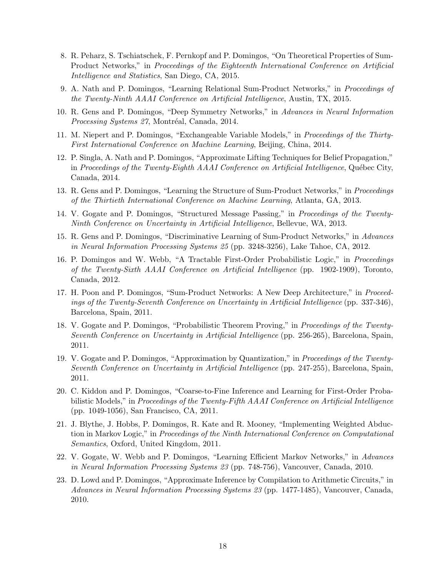- 8. R. Peharz, S. Tschiatschek, F. Pernkopf and P. Domingos, "On Theoretical Properties of Sum-Product Networks," in Proceedings of the Eighteenth International Conference on Artificial Intelligence and Statistics, San Diego, CA, 2015.
- 9. A. Nath and P. Domingos, "Learning Relational Sum-Product Networks," in Proceedings of the Twenty-Ninth AAAI Conference on Artificial Intelligence, Austin, TX, 2015.
- 10. R. Gens and P. Domingos, "Deep Symmetry Networks," in Advances in Neural Information Processing Systems 27, Montréal, Canada, 2014.
- 11. M. Niepert and P. Domingos, "Exchangeable Variable Models," in Proceedings of the Thirty-First International Conference on Machine Learning, Beijing, China, 2014.
- 12. P. Singla, A. Nath and P. Domingos, "Approximate Lifting Techniques for Belief Propagation," in Proceedings of the Twenty-Eighth AAAI Conference on Artificial Intelligence, Québec City, Canada, 2014.
- 13. R. Gens and P. Domingos, "Learning the Structure of Sum-Product Networks," in *Proceedings* of the Thirtieth International Conference on Machine Learning, Atlanta, GA, 2013.
- 14. V. Gogate and P. Domingos, "Structured Message Passing," in Proceedings of the Twenty-Ninth Conference on Uncertainty in Artificial Intelligence, Bellevue, WA, 2013.
- 15. R. Gens and P. Domingos, "Discriminative Learning of Sum-Product Networks," in Advances in Neural Information Processing Systems 25 (pp. 3248-3256), Lake Tahoe, CA, 2012.
- 16. P. Domingos and W. Webb, "A Tractable First-Order Probabilistic Logic," in Proceedings of the Twenty-Sixth AAAI Conference on Artificial Intelligence (pp. 1902-1909), Toronto, Canada, 2012.
- 17. H. Poon and P. Domingos, "Sum-Product Networks: A New Deep Architecture," in Proceedings of the Twenty-Seventh Conference on Uncertainty in Artificial Intelligence (pp. 337-346), Barcelona, Spain, 2011.
- 18. V. Gogate and P. Domingos, "Probabilistic Theorem Proving," in Proceedings of the Twenty-Seventh Conference on Uncertainty in Artificial Intelligence (pp. 256-265), Barcelona, Spain, 2011.
- 19. V. Gogate and P. Domingos, "Approximation by Quantization," in Proceedings of the Twenty-Seventh Conference on Uncertainty in Artificial Intelligence (pp. 247-255), Barcelona, Spain, 2011.
- 20. C. Kiddon and P. Domingos, "Coarse-to-Fine Inference and Learning for First-Order Probabilistic Models," in Proceedings of the Twenty-Fifth AAAI Conference on Artificial Intelligence (pp. 1049-1056), San Francisco, CA, 2011.
- 21. J. Blythe, J. Hobbs, P. Domingos, R. Kate and R. Mooney, "Implementing Weighted Abduction in Markov Logic," in Proceedings of the Ninth International Conference on Computational Semantics, Oxford, United Kingdom, 2011.
- 22. V. Gogate, W. Webb and P. Domingos, "Learning Efficient Markov Networks," in Advances in Neural Information Processing Systems 23 (pp. 748-756), Vancouver, Canada, 2010.
- 23. D. Lowd and P. Domingos, "Approximate Inference by Compilation to Arithmetic Circuits," in Advances in Neural Information Processing Systems 23 (pp. 1477-1485), Vancouver, Canada, 2010.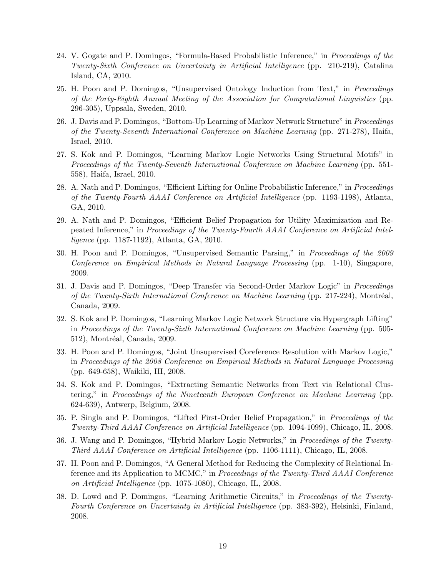- 24. V. Gogate and P. Domingos, "Formula-Based Probabilistic Inference," in Proceedings of the Twenty-Sixth Conference on Uncertainty in Artificial Intelligence (pp. 210-219), Catalina Island, CA, 2010.
- 25. H. Poon and P. Domingos, "Unsupervised Ontology Induction from Text," in *Proceedings* of the Forty-Eighth Annual Meeting of the Association for Computational Linguistics (pp. 296-305), Uppsala, Sweden, 2010.
- 26. J. Davis and P. Domingos, "Bottom-Up Learning of Markov Network Structure" in Proceedings of the Twenty-Seventh International Conference on Machine Learning (pp. 271-278), Haifa, Israel, 2010.
- 27. S. Kok and P. Domingos, "Learning Markov Logic Networks Using Structural Motifs" in Proceedings of the Twenty-Seventh International Conference on Machine Learning (pp. 551- 558), Haifa, Israel, 2010.
- 28. A. Nath and P. Domingos, "Efficient Lifting for Online Probabilistic Inference," in Proceedings of the Twenty-Fourth AAAI Conference on Artificial Intelligence (pp. 1193-1198), Atlanta, GA, 2010.
- 29. A. Nath and P. Domingos, "Efficient Belief Propagation for Utility Maximization and Repeated Inference," in Proceedings of the Twenty-Fourth AAAI Conference on Artificial Intelligence (pp. 1187-1192), Atlanta, GA, 2010.
- 30. H. Poon and P. Domingos, "Unsupervised Semantic Parsing," in Proceedings of the 2009 Conference on Empirical Methods in Natural Language Processing (pp. 1-10), Singapore, 2009.
- 31. J. Davis and P. Domingos, "Deep Transfer via Second-Order Markov Logic" in Proceedings of the Twenty-Sixth International Conference on Machine Learning (pp. 217-224), Montréal, Canada, 2009.
- 32. S. Kok and P. Domingos, "Learning Markov Logic Network Structure via Hypergraph Lifting" in Proceedings of the Twenty-Sixth International Conference on Machine Learning (pp. 505- 512), Montréal, Canada, 2009.
- 33. H. Poon and P. Domingos, "Joint Unsupervised Coreference Resolution with Markov Logic," in Proceedings of the 2008 Conference on Empirical Methods in Natural Language Processing (pp. 649-658), Waikiki, HI, 2008.
- 34. S. Kok and P. Domingos, "Extracting Semantic Networks from Text via Relational Clustering," in Proceedings of the Nineteenth European Conference on Machine Learning (pp. 624-639), Antwerp, Belgium, 2008.
- 35. P. Singla and P. Domingos, "Lifted First-Order Belief Propagation," in Proceedings of the Twenty-Third AAAI Conference on Artificial Intelligence (pp. 1094-1099), Chicago, IL, 2008.
- 36. J. Wang and P. Domingos, "Hybrid Markov Logic Networks," in Proceedings of the Twenty-Third AAAI Conference on Artificial Intelligence (pp. 1106-1111), Chicago, IL, 2008.
- 37. H. Poon and P. Domingos, "A General Method for Reducing the Complexity of Relational Inference and its Application to MCMC," in Proceedings of the Twenty-Third AAAI Conference on Artificial Intelligence (pp. 1075-1080), Chicago, IL, 2008.
- 38. D. Lowd and P. Domingos, "Learning Arithmetic Circuits," in Proceedings of the Twenty-Fourth Conference on Uncertainty in Artificial Intelligence (pp. 383-392), Helsinki, Finland, 2008.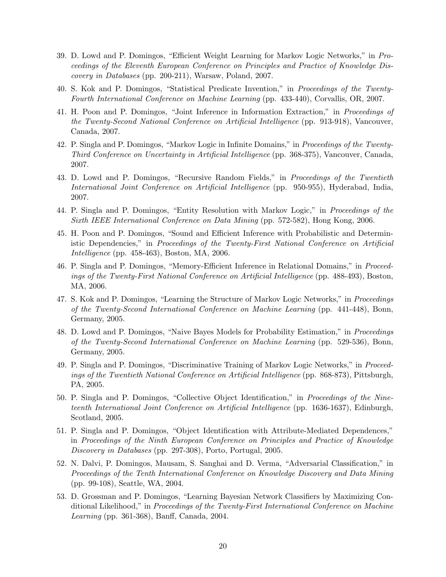- 39. D. Lowd and P. Domingos, "Efficient Weight Learning for Markov Logic Networks," in Proceedings of the Eleventh European Conference on Principles and Practice of Knowledge Discovery in Databases (pp. 200-211), Warsaw, Poland, 2007.
- 40. S. Kok and P. Domingos, "Statistical Predicate Invention," in Proceedings of the Twenty-Fourth International Conference on Machine Learning (pp. 433-440), Corvallis, OR, 2007.
- 41. H. Poon and P. Domingos, "Joint Inference in Information Extraction," in Proceedings of the Twenty-Second National Conference on Artificial Intelligence (pp. 913-918), Vancouver, Canada, 2007.
- 42. P. Singla and P. Domingos, "Markov Logic in Infinite Domains," in Proceedings of the Twenty-Third Conference on Uncertainty in Artificial Intelligence (pp. 368-375), Vancouver, Canada, 2007.
- 43. D. Lowd and P. Domingos, "Recursive Random Fields," in Proceedings of the Twentieth International Joint Conference on Artificial Intelligence (pp. 950-955), Hyderabad, India, 2007.
- 44. P. Singla and P. Domingos, "Entity Resolution with Markov Logic," in Proceedings of the Sixth IEEE International Conference on Data Mining (pp. 572-582), Hong Kong, 2006.
- 45. H. Poon and P. Domingos, "Sound and Efficient Inference with Probabilistic and Deterministic Dependencies," in Proceedings of the Twenty-First National Conference on Artificial Intelligence (pp. 458-463), Boston, MA, 2006.
- 46. P. Singla and P. Domingos, "Memory-Efficient Inference in Relational Domains," in Proceedings of the Twenty-First National Conference on Artificial Intelligence (pp. 488-493), Boston, MA, 2006.
- 47. S. Kok and P. Domingos, "Learning the Structure of Markov Logic Networks," in Proceedings of the Twenty-Second International Conference on Machine Learning (pp. 441-448), Bonn, Germany, 2005.
- 48. D. Lowd and P. Domingos, "Naive Bayes Models for Probability Estimation," in Proceedings of the Twenty-Second International Conference on Machine Learning (pp. 529-536), Bonn, Germany, 2005.
- 49. P. Singla and P. Domingos, "Discriminative Training of Markov Logic Networks," in Proceedings of the Twentieth National Conference on Artificial Intelligence (pp. 868-873), Pittsburgh, PA, 2005.
- 50. P. Singla and P. Domingos, "Collective Object Identification," in Proceedings of the Nineteenth International Joint Conference on Artificial Intelligence (pp. 1636-1637), Edinburgh, Scotland, 2005.
- 51. P. Singla and P. Domingos, "Object Identification with Attribute-Mediated Dependences," in Proceedings of the Ninth European Conference on Principles and Practice of Knowledge Discovery in Databases (pp. 297-308), Porto, Portugal, 2005.
- 52. N. Dalvi, P. Domingos, Mausam, S. Sanghai and D. Verma, "Adversarial Classification," in Proceedings of the Tenth International Conference on Knowledge Discovery and Data Mining (pp. 99-108), Seattle, WA, 2004.
- 53. D. Grossman and P. Domingos, "Learning Bayesian Network Classifiers by Maximizing Conditional Likelihood," in Proceedings of the Twenty-First International Conference on Machine Learning (pp. 361-368), Banff, Canada, 2004.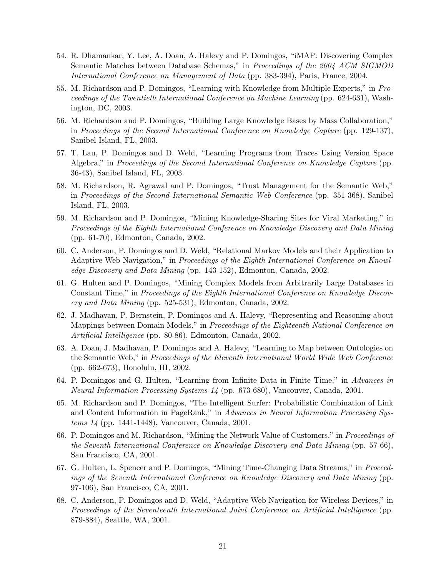- 54. R. Dhamankar, Y. Lee, A. Doan, A. Halevy and P. Domingos, "iMAP: Discovering Complex Semantic Matches between Database Schemas," in Proceedings of the 2004 ACM SIGMOD International Conference on Management of Data (pp. 383-394), Paris, France, 2004.
- 55. M. Richardson and P. Domingos, "Learning with Knowledge from Multiple Experts," in Proceedings of the Twentieth International Conference on Machine Learning (pp. 624-631), Washington, DC, 2003.
- 56. M. Richardson and P. Domingos, "Building Large Knowledge Bases by Mass Collaboration," in Proceedings of the Second International Conference on Knowledge Capture (pp. 129-137), Sanibel Island, FL, 2003.
- 57. T. Lau, P. Domingos and D. Weld, "Learning Programs from Traces Using Version Space Algebra," in Proceedings of the Second International Conference on Knowledge Capture (pp. 36-43), Sanibel Island, FL, 2003.
- 58. M. Richardson, R. Agrawal and P. Domingos, "Trust Management for the Semantic Web," in Proceedings of the Second International Semantic Web Conference (pp. 351-368), Sanibel Island, FL, 2003.
- 59. M. Richardson and P. Domingos, "Mining Knowledge-Sharing Sites for Viral Marketing," in Proceedings of the Eighth International Conference on Knowledge Discovery and Data Mining (pp. 61-70), Edmonton, Canada, 2002.
- 60. C. Anderson, P. Domingos and D. Weld, "Relational Markov Models and their Application to Adaptive Web Navigation," in Proceedings of the Eighth International Conference on Knowledge Discovery and Data Mining (pp. 143-152), Edmonton, Canada, 2002.
- 61. G. Hulten and P. Domingos, "Mining Complex Models from Arbitrarily Large Databases in Constant Time," in Proceedings of the Eighth International Conference on Knowledge Discovery and Data Mining (pp. 525-531), Edmonton, Canada, 2002.
- 62. J. Madhavan, P. Bernstein, P. Domingos and A. Halevy, "Representing and Reasoning about Mappings between Domain Models," in *Proceedings of the Eighteenth National Conference on* Artificial Intelligence (pp. 80-86), Edmonton, Canada, 2002.
- 63. A. Doan, J. Madhavan, P. Domingos and A. Halevy, "Learning to Map between Ontologies on the Semantic Web," in Proceedings of the Eleventh International World Wide Web Conference (pp. 662-673), Honolulu, HI, 2002.
- 64. P. Domingos and G. Hulten, "Learning from Infinite Data in Finite Time," in Advances in Neural Information Processing Systems 14 (pp. 673-680), Vancouver, Canada, 2001.
- 65. M. Richardson and P. Domingos, "The Intelligent Surfer: Probabilistic Combination of Link and Content Information in PageRank," in Advances in Neural Information Processing Systems 14 (pp. 1441-1448), Vancouver, Canada, 2001.
- 66. P. Domingos and M. Richardson, "Mining the Network Value of Customers," in Proceedings of the Seventh International Conference on Knowledge Discovery and Data Mining (pp. 57-66), San Francisco, CA, 2001.
- 67. G. Hulten, L. Spencer and P. Domingos, "Mining Time-Changing Data Streams," in Proceedings of the Seventh International Conference on Knowledge Discovery and Data Mining (pp. 97-106), San Francisco, CA, 2001.
- 68. C. Anderson, P. Domingos and D. Weld, "Adaptive Web Navigation for Wireless Devices," in Proceedings of the Seventeenth International Joint Conference on Artificial Intelligence (pp. 879-884), Seattle, WA, 2001.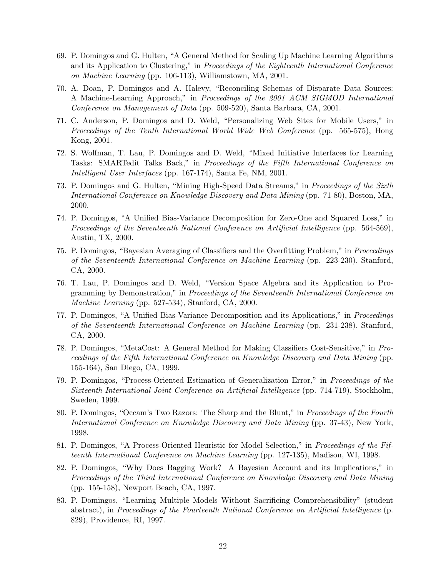- 69. P. Domingos and G. Hulten, "A General Method for Scaling Up Machine Learning Algorithms and its Application to Clustering," in Proceedings of the Eighteenth International Conference on Machine Learning (pp. 106-113), Williamstown, MA, 2001.
- 70. A. Doan, P. Domingos and A. Halevy, "Reconciling Schemas of Disparate Data Sources: A Machine-Learning Approach," in Proceedings of the 2001 ACM SIGMOD International Conference on Management of Data (pp. 509-520), Santa Barbara, CA, 2001.
- 71. C. Anderson, P. Domingos and D. Weld, "Personalizing Web Sites for Mobile Users," in Proceedings of the Tenth International World Wide Web Conference (pp. 565-575), Hong Kong, 2001.
- 72. S. Wolfman, T. Lau, P. Domingos and D. Weld, "Mixed Initiative Interfaces for Learning Tasks: SMARTedit Talks Back," in Proceedings of the Fifth International Conference on Intelligent User Interfaces (pp. 167-174), Santa Fe, NM, 2001.
- 73. P. Domingos and G. Hulten, "Mining High-Speed Data Streams," in Proceedings of the Sixth International Conference on Knowledge Discovery and Data Mining (pp. 71-80), Boston, MA, 2000.
- 74. P. Domingos, "A Unified Bias-Variance Decomposition for Zero-One and Squared Loss," in Proceedings of the Seventeenth National Conference on Artificial Intelligence (pp. 564-569), Austin, TX, 2000.
- 75. P. Domingos, "Bayesian Averaging of Classifiers and the Overfitting Problem," in Proceedings of the Seventeenth International Conference on Machine Learning (pp. 223-230), Stanford, CA, 2000.
- 76. T. Lau, P. Domingos and D. Weld, "Version Space Algebra and its Application to Programming by Demonstration," in Proceedings of the Seventeenth International Conference on Machine Learning (pp. 527-534), Stanford, CA, 2000.
- 77. P. Domingos, "A Unified Bias-Variance Decomposition and its Applications," in Proceedings of the Seventeenth International Conference on Machine Learning (pp. 231-238), Stanford, CA, 2000.
- 78. P. Domingos, "MetaCost: A General Method for Making Classifiers Cost-Sensitive," in Proceedings of the Fifth International Conference on Knowledge Discovery and Data Mining (pp. 155-164), San Diego, CA, 1999.
- 79. P. Domingos, "Process-Oriented Estimation of Generalization Error," in Proceedings of the Sixteenth International Joint Conference on Artificial Intelligence (pp. 714-719), Stockholm, Sweden, 1999.
- 80. P. Domingos, "Occam's Two Razors: The Sharp and the Blunt," in Proceedings of the Fourth International Conference on Knowledge Discovery and Data Mining (pp. 37-43), New York, 1998.
- 81. P. Domingos, "A Process-Oriented Heuristic for Model Selection," in Proceedings of the Fifteenth International Conference on Machine Learning (pp. 127-135), Madison, WI, 1998.
- 82. P. Domingos, "Why Does Bagging Work? A Bayesian Account and its Implications," in Proceedings of the Third International Conference on Knowledge Discovery and Data Mining (pp. 155-158), Newport Beach, CA, 1997.
- 83. P. Domingos, "Learning Multiple Models Without Sacrificing Comprehensibility" (student abstract), in Proceedings of the Fourteenth National Conference on Artificial Intelligence (p. 829), Providence, RI, 1997.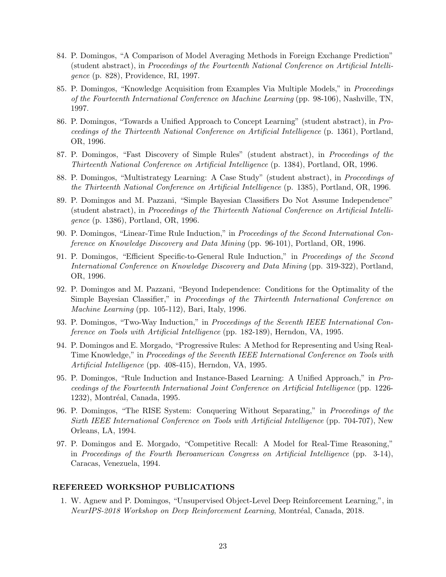- 84. P. Domingos, "A Comparison of Model Averaging Methods in Foreign Exchange Prediction" (student abstract), in Proceedings of the Fourteenth National Conference on Artificial Intelligence (p. 828), Providence, RI, 1997.
- 85. P. Domingos, "Knowledge Acquisition from Examples Via Multiple Models," in Proceedings of the Fourteenth International Conference on Machine Learning (pp. 98-106), Nashville, TN, 1997.
- 86. P. Domingos, "Towards a Unified Approach to Concept Learning" (student abstract), in Proceedings of the Thirteenth National Conference on Artificial Intelligence (p. 1361), Portland, OR, 1996.
- 87. P. Domingos, "Fast Discovery of Simple Rules" (student abstract), in Proceedings of the Thirteenth National Conference on Artificial Intelligence (p. 1384), Portland, OR, 1996.
- 88. P. Domingos, "Multistrategy Learning: A Case Study" (student abstract), in Proceedings of the Thirteenth National Conference on Artificial Intelligence (p. 1385), Portland, OR, 1996.
- 89. P. Domingos and M. Pazzani, "Simple Bayesian Classifiers Do Not Assume Independence" (student abstract), in Proceedings of the Thirteenth National Conference on Artificial Intelligence (p. 1386), Portland, OR, 1996.
- 90. P. Domingos, "Linear-Time Rule Induction," in Proceedings of the Second International Conference on Knowledge Discovery and Data Mining (pp. 96-101), Portland, OR, 1996.
- 91. P. Domingos, "Efficient Specific-to-General Rule Induction," in Proceedings of the Second International Conference on Knowledge Discovery and Data Mining (pp. 319-322), Portland, OR, 1996.
- 92. P. Domingos and M. Pazzani, "Beyond Independence: Conditions for the Optimality of the Simple Bayesian Classifier," in Proceedings of the Thirteenth International Conference on Machine Learning (pp. 105-112), Bari, Italy, 1996.
- 93. P. Domingos, "Two-Way Induction," in Proceedings of the Seventh IEEE International Conference on Tools with Artificial Intelligence (pp. 182-189), Herndon, VA, 1995.
- 94. P. Domingos and E. Morgado, "Progressive Rules: A Method for Representing and Using Real-Time Knowledge," in *Proceedings of the Seventh IEEE International Conference on Tools with* Artificial Intelligence (pp. 408-415), Herndon, VA, 1995.
- 95. P. Domingos, "Rule Induction and Instance-Based Learning: A Unified Approach," in Proceedings of the Fourteenth International Joint Conference on Artificial Intelligence (pp. 1226- 1232), Montréal, Canada, 1995.
- 96. P. Domingos, "The RISE System: Conquering Without Separating," in Proceedings of the Sixth IEEE International Conference on Tools with Artificial Intelligence (pp. 704-707), New Orleans, LA, 1994.
- 97. P. Domingos and E. Morgado, "Competitive Recall: A Model for Real-Time Reasoning," in Proceedings of the Fourth Iberoamerican Congress on Artificial Intelligence (pp. 3-14), Caracas, Venezuela, 1994.

#### REFEREED WORKSHOP PUBLICATIONS

1. W. Agnew and P. Domingos, "Unsupervised Object-Level Deep Reinforcement Learning,", in NeurIPS-2018 Workshop on Deep Reinforcement Learning, Montréal, Canada, 2018.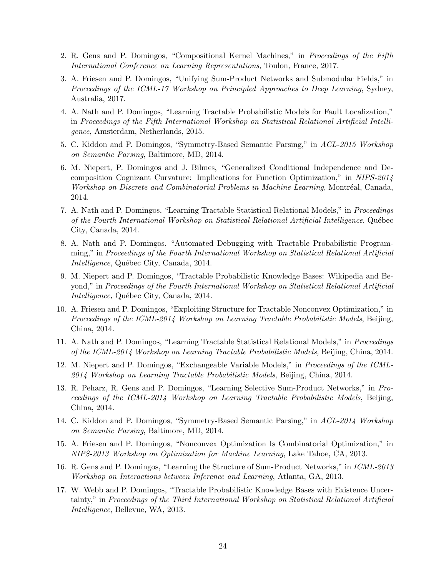- 2. R. Gens and P. Domingos, "Compositional Kernel Machines," in Proceedings of the Fifth International Conference on Learning Representations, Toulon, France, 2017.
- 3. A. Friesen and P. Domingos, "Unifying Sum-Product Networks and Submodular Fields," in Proceedings of the ICML-17 Workshop on Principled Approaches to Deep Learning, Sydney, Australia, 2017.
- 4. A. Nath and P. Domingos, "Learning Tractable Probabilistic Models for Fault Localization," in Proceedings of the Fifth International Workshop on Statistical Relational Artificial Intelligence, Amsterdam, Netherlands, 2015.
- 5. C. Kiddon and P. Domingos, "Symmetry-Based Semantic Parsing," in ACL-2015 Workshop on Semantic Parsing, Baltimore, MD, 2014.
- 6. M. Niepert, P. Domingos and J. Bilmes, "Generalized Conditional Independence and Decomposition Cognizant Curvature: Implications for Function Optimization," in NIPS-2014 Workshop on Discrete and Combinatorial Problems in Machine Learning, Montréal, Canada, 2014.
- 7. A. Nath and P. Domingos, "Learning Tractable Statistical Relational Models," in Proceedings of the Fourth International Workshop on Statistical Relational Artificial Intelligence, Québec City, Canada, 2014.
- 8. A. Nath and P. Domingos, "Automated Debugging with Tractable Probabilistic Programming," in Proceedings of the Fourth International Workshop on Statistical Relational Artificial *Intelligence*, Québec City, Canada, 2014.
- 9. M. Niepert and P. Domingos, "Tractable Probabilistic Knowledge Bases: Wikipedia and Beyond," in Proceedings of the Fourth International Workshop on Statistical Relational Artificial *Intelligence*, Québec City, Canada, 2014.
- 10. A. Friesen and P. Domingos, "Exploiting Structure for Tractable Nonconvex Optimization," in Proceedings of the ICML-2014 Workshop on Learning Tractable Probabilistic Models, Beijing, China, 2014.
- 11. A. Nath and P. Domingos, "Learning Tractable Statistical Relational Models," in Proceedings of the ICML-2014 Workshop on Learning Tractable Probabilistic Models, Beijing, China, 2014.
- 12. M. Niepert and P. Domingos, "Exchangeable Variable Models," in Proceedings of the ICML-2014 Workshop on Learning Tractable Probabilistic Models, Beijing, China, 2014.
- 13. R. Peharz, R. Gens and P. Domingos, "Learning Selective Sum-Product Networks," in Proceedings of the ICML-2014 Workshop on Learning Tractable Probabilistic Models, Beijing, China, 2014.
- 14. C. Kiddon and P. Domingos, "Symmetry-Based Semantic Parsing," in ACL-2014 Workshop on Semantic Parsing, Baltimore, MD, 2014.
- 15. A. Friesen and P. Domingos, "Nonconvex Optimization Is Combinatorial Optimization," in NIPS-2013 Workshop on Optimization for Machine Learning, Lake Tahoe, CA, 2013.
- 16. R. Gens and P. Domingos, "Learning the Structure of Sum-Product Networks," in ICML-2013 Workshop on Interactions between Inference and Learning, Atlanta, GA, 2013.
- 17. W. Webb and P. Domingos, "Tractable Probabilistic Knowledge Bases with Existence Uncertainty," in Proceedings of the Third International Workshop on Statistical Relational Artificial Intelligence, Bellevue, WA, 2013.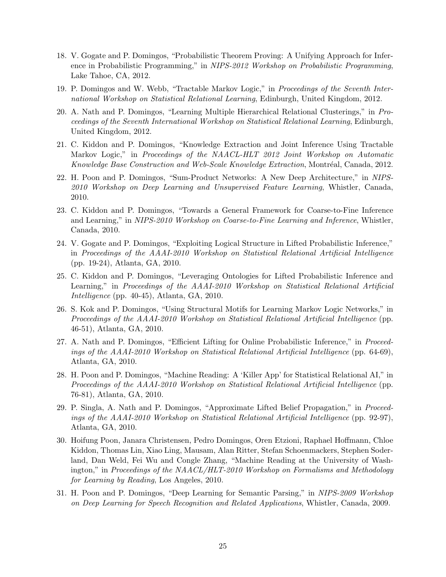- 18. V. Gogate and P. Domingos, "Probabilistic Theorem Proving: A Unifying Approach for Inference in Probabilistic Programming," in NIPS-2012 Workshop on Probabilistic Programming, Lake Tahoe, CA, 2012.
- 19. P. Domingos and W. Webb, "Tractable Markov Logic," in Proceedings of the Seventh International Workshop on Statistical Relational Learning, Edinburgh, United Kingdom, 2012.
- 20. A. Nath and P. Domingos, "Learning Multiple Hierarchical Relational Clusterings," in Proceedings of the Seventh International Workshop on Statistical Relational Learning, Edinburgh, United Kingdom, 2012.
- 21. C. Kiddon and P. Domingos, "Knowledge Extraction and Joint Inference Using Tractable Markov Logic," in Proceedings of the NAACL-HLT 2012 Joint Workshop on Automatic Knowledge Base Construction and Web-Scale Knowledge Extraction, Montréal, Canada, 2012.
- 22. H. Poon and P. Domingos, "Sum-Product Networks: A New Deep Architecture," in NIPS-2010 Workshop on Deep Learning and Unsupervised Feature Learning, Whistler, Canada, 2010.
- 23. C. Kiddon and P. Domingos, "Towards a General Framework for Coarse-to-Fine Inference and Learning," in NIPS-2010 Workshop on Coarse-to-Fine Learning and Inference, Whistler, Canada, 2010.
- 24. V. Gogate and P. Domingos, "Exploiting Logical Structure in Lifted Probabilistic Inference," in Proceedings of the AAAI-2010 Workshop on Statistical Relational Artificial Intelligence (pp. 19-24), Atlanta, GA, 2010.
- 25. C. Kiddon and P. Domingos, "Leveraging Ontologies for Lifted Probabilistic Inference and Learning," in Proceedings of the AAAI-2010 Workshop on Statistical Relational Artificial Intelligence (pp. 40-45), Atlanta, GA, 2010.
- 26. S. Kok and P. Domingos, "Using Structural Motifs for Learning Markov Logic Networks," in Proceedings of the AAAI-2010 Workshop on Statistical Relational Artificial Intelligence (pp. 46-51), Atlanta, GA, 2010.
- 27. A. Nath and P. Domingos, "Efficient Lifting for Online Probabilistic Inference," in Proceedings of the AAAI-2010 Workshop on Statistical Relational Artificial Intelligence (pp. 64-69), Atlanta, GA, 2010.
- 28. H. Poon and P. Domingos, "Machine Reading: A 'Killer App' for Statistical Relational AI," in Proceedings of the AAAI-2010 Workshop on Statistical Relational Artificial Intelligence (pp. 76-81), Atlanta, GA, 2010.
- 29. P. Singla, A. Nath and P. Domingos, "Approximate Lifted Belief Propagation," in Proceedings of the AAAI-2010 Workshop on Statistical Relational Artificial Intelligence (pp. 92-97), Atlanta, GA, 2010.
- 30. Hoifung Poon, Janara Christensen, Pedro Domingos, Oren Etzioni, Raphael Hoffmann, Chloe Kiddon, Thomas Lin, Xiao Ling, Mausam, Alan Ritter, Stefan Schoenmackers, Stephen Soderland, Dan Weld, Fei Wu and Congle Zhang, "Machine Reading at the University of Washington," in Proceedings of the NAACL/HLT-2010 Workshop on Formalisms and Methodology for Learning by Reading, Los Angeles, 2010.
- 31. H. Poon and P. Domingos, "Deep Learning for Semantic Parsing," in NIPS-2009 Workshop on Deep Learning for Speech Recognition and Related Applications, Whistler, Canada, 2009.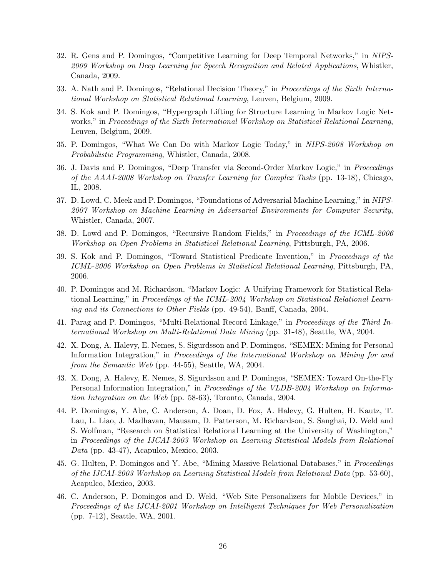- 32. R. Gens and P. Domingos, "Competitive Learning for Deep Temporal Networks," in NIPS-2009 Workshop on Deep Learning for Speech Recognition and Related Applications, Whistler, Canada, 2009.
- 33. A. Nath and P. Domingos, "Relational Decision Theory," in Proceedings of the Sixth International Workshop on Statistical Relational Learning, Leuven, Belgium, 2009.
- 34. S. Kok and P. Domingos, "Hypergraph Lifting for Structure Learning in Markov Logic Networks," in Proceedings of the Sixth International Workshop on Statistical Relational Learning, Leuven, Belgium, 2009.
- 35. P. Domingos, "What We Can Do with Markov Logic Today," in NIPS-2008 Workshop on Probabilistic Programming, Whistler, Canada, 2008.
- 36. J. Davis and P. Domingos, "Deep Transfer via Second-Order Markov Logic," in Proceedings of the AAAI-2008 Workshop on Transfer Learning for Complex Tasks (pp. 13-18), Chicago, IL, 2008.
- 37. D. Lowd, C. Meek and P. Domingos, "Foundations of Adversarial Machine Learning," in NIPS-2007 Workshop on Machine Learning in Adversarial Environments for Computer Security, Whistler, Canada, 2007.
- 38. D. Lowd and P. Domingos, "Recursive Random Fields," in Proceedings of the ICML-2006 Workshop on Open Problems in Statistical Relational Learning, Pittsburgh, PA, 2006.
- 39. S. Kok and P. Domingos, "Toward Statistical Predicate Invention," in Proceedings of the ICML-2006 Workshop on Open Problems in Statistical Relational Learning, Pittsburgh, PA, 2006.
- 40. P. Domingos and M. Richardson, "Markov Logic: A Unifying Framework for Statistical Relational Learning," in Proceedings of the ICML-2004 Workshop on Statistical Relational Learning and its Connections to Other Fields (pp. 49-54), Banff, Canada, 2004.
- 41. Parag and P. Domingos, "Multi-Relational Record Linkage," in Proceedings of the Third International Workshop on Multi-Relational Data Mining (pp. 31-48), Seattle, WA, 2004.
- 42. X. Dong, A. Halevy, E. Nemes, S. Sigurdsson and P. Domingos, "SEMEX: Mining for Personal Information Integration," in Proceedings of the International Workshop on Mining for and from the Semantic Web (pp. 44-55), Seattle, WA, 2004.
- 43. X. Dong, A. Halevy, E. Nemes, S. Sigurdsson and P. Domingos, "SEMEX: Toward On-the-Fly Personal Information Integration," in Proceedings of the VLDB-2004 Workshop on Information Integration on the Web (pp. 58-63), Toronto, Canada, 2004.
- 44. P. Domingos, Y. Abe, C. Anderson, A. Doan, D. Fox, A. Halevy, G. Hulten, H. Kautz, T. Lau, L. Liao, J. Madhavan, Mausam, D. Patterson, M. Richardson, S. Sanghai, D. Weld and S. Wolfman, "Research on Statistical Relational Learning at the University of Washington," in Proceedings of the IJCAI-2003 Workshop on Learning Statistical Models from Relational Data (pp. 43-47), Acapulco, Mexico, 2003.
- 45. G. Hulten, P. Domingos and Y. Abe, "Mining Massive Relational Databases," in Proceedings of the IJCAI-2003 Workshop on Learning Statistical Models from Relational Data (pp. 53-60), Acapulco, Mexico, 2003.
- 46. C. Anderson, P. Domingos and D. Weld, "Web Site Personalizers for Mobile Devices," in Proceedings of the IJCAI-2001 Workshop on Intelligent Techniques for Web Personalization (pp. 7-12), Seattle, WA, 2001.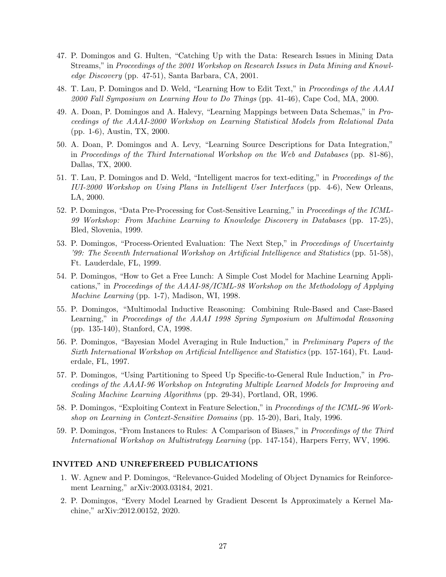- 47. P. Domingos and G. Hulten, "Catching Up with the Data: Research Issues in Mining Data Streams," in Proceedings of the 2001 Workshop on Research Issues in Data Mining and Knowledge Discovery (pp. 47-51), Santa Barbara, CA, 2001.
- 48. T. Lau, P. Domingos and D. Weld, "Learning How to Edit Text," in Proceedings of the AAAI 2000 Fall Symposium on Learning How to Do Things (pp. 41-46), Cape Cod, MA, 2000.
- 49. A. Doan, P. Domingos and A. Halevy, "Learning Mappings between Data Schemas," in Proceedings of the AAAI-2000 Workshop on Learning Statistical Models from Relational Data (pp. 1-6), Austin, TX, 2000.
- 50. A. Doan, P. Domingos and A. Levy, "Learning Source Descriptions for Data Integration," in Proceedings of the Third International Workshop on the Web and Databases (pp. 81-86), Dallas, TX, 2000.
- 51. T. Lau, P. Domingos and D. Weld, "Intelligent macros for text-editing," in Proceedings of the IUI-2000 Workshop on Using Plans in Intelligent User Interfaces (pp. 4-6), New Orleans, LA, 2000.
- 52. P. Domingos, "Data Pre-Processing for Cost-Sensitive Learning," in Proceedings of the ICML-99 Workshop: From Machine Learning to Knowledge Discovery in Databases (pp. 17-25), Bled, Slovenia, 1999.
- 53. P. Domingos, "Process-Oriented Evaluation: The Next Step," in Proceedings of Uncertainty '99: The Seventh International Workshop on Artificial Intelligence and Statistics (pp. 51-58), Ft. Lauderdale, FL, 1999.
- 54. P. Domingos, "How to Get a Free Lunch: A Simple Cost Model for Machine Learning Applications," in Proceedings of the AAAI-98/ICML-98 Workshop on the Methodology of Applying Machine Learning (pp. 1-7), Madison, WI, 1998.
- 55. P. Domingos, "Multimodal Inductive Reasoning: Combining Rule-Based and Case-Based Learning," in Proceedings of the AAAI 1998 Spring Symposium on Multimodal Reasoning (pp. 135-140), Stanford, CA, 1998.
- 56. P. Domingos, "Bayesian Model Averaging in Rule Induction," in Preliminary Papers of the Sixth International Workshop on Artificial Intelligence and Statistics (pp. 157-164), Ft. Lauderdale, FL, 1997.
- 57. P. Domingos, "Using Partitioning to Speed Up Specific-to-General Rule Induction," in Proceedings of the AAAI-96 Workshop on Integrating Multiple Learned Models for Improving and Scaling Machine Learning Algorithms (pp. 29-34), Portland, OR, 1996.
- 58. P. Domingos, "Exploiting Context in Feature Selection," in Proceedings of the ICML-96 Workshop on Learning in Context-Sensitive Domains (pp. 15-20), Bari, Italy, 1996.
- 59. P. Domingos, "From Instances to Rules: A Comparison of Biases," in Proceedings of the Third International Workshop on Multistrategy Learning (pp. 147-154), Harpers Ferry, WV, 1996.

#### INVITED AND UNREFEREED PUBLICATIONS

- 1. W. Agnew and P. Domingos, "Relevance-Guided Modeling of Object Dynamics for Reinforcement Learning," arXiv:2003.03184, 2021.
- 2. P. Domingos, "Every Model Learned by Gradient Descent Is Approximately a Kernel Machine," arXiv:2012.00152, 2020.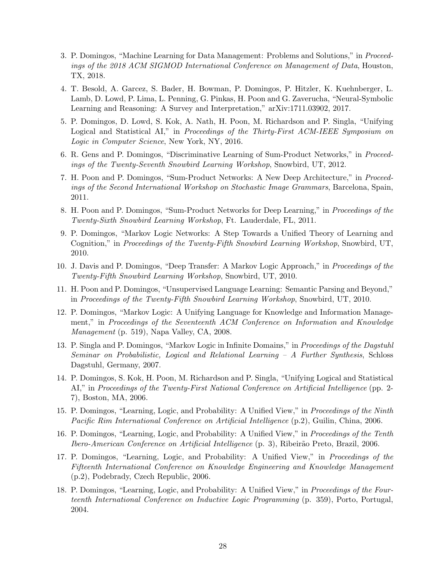- 3. P. Domingos, "Machine Learning for Data Management: Problems and Solutions," in Proceedings of the 2018 ACM SIGMOD International Conference on Management of Data, Houston, TX, 2018.
- 4. T. Besold, A. Garcez, S. Bader, H. Bowman, P. Domingos, P. Hitzler, K. Kuehnberger, L. Lamb, D. Lowd, P. Lima, L. Penning, G. Pinkas, H. Poon and G. Zaverucha, "Neural-Symbolic Learning and Reasoning: A Survey and Interpretation," arXiv:1711.03902, 2017.
- 5. P. Domingos, D. Lowd, S. Kok, A. Nath, H. Poon, M. Richardson and P. Singla, "Unifying Logical and Statistical AI," in Proceedings of the Thirty-First ACM-IEEE Symposium on Logic in Computer Science, New York, NY, 2016.
- 6. R. Gens and P. Domingos, "Discriminative Learning of Sum-Product Networks," in Proceedings of the Twenty-Seventh Snowbird Learning Workshop, Snowbird, UT, 2012.
- 7. H. Poon and P. Domingos, "Sum-Product Networks: A New Deep Architecture," in Proceedings of the Second International Workshop on Stochastic Image Grammars, Barcelona, Spain, 2011.
- 8. H. Poon and P. Domingos, "Sum-Product Networks for Deep Learning," in Proceedings of the Twenty-Sixth Snowbird Learning Workshop, Ft. Lauderdale, FL, 2011.
- 9. P. Domingos, "Markov Logic Networks: A Step Towards a Unified Theory of Learning and Cognition," in Proceedings of the Twenty-Fifth Snowbird Learning Workshop, Snowbird, UT, 2010.
- 10. J. Davis and P. Domingos, "Deep Transfer: A Markov Logic Approach," in Proceedings of the Twenty-Fifth Snowbird Learning Workshop, Snowbird, UT, 2010.
- 11. H. Poon and P. Domingos, "Unsupervised Language Learning: Semantic Parsing and Beyond," in Proceedings of the Twenty-Fifth Snowbird Learning Workshop, Snowbird, UT, 2010.
- 12. P. Domingos, "Markov Logic: A Unifying Language for Knowledge and Information Management," in Proceedings of the Seventeenth ACM Conference on Information and Knowledge Management (p. 519), Napa Valley, CA, 2008.
- 13. P. Singla and P. Domingos, "Markov Logic in Infinite Domains," in Proceedings of the Dagstuhl Seminar on Probabilistic, Logical and Relational Learning – A Further Synthesis, Schloss Dagstuhl, Germany, 2007.
- 14. P. Domingos, S. Kok, H. Poon, M. Richardson and P. Singla, "Unifying Logical and Statistical AI," in Proceedings of the Twenty-First National Conference on Artificial Intelligence (pp. 2- 7), Boston, MA, 2006.
- 15. P. Domingos, "Learning, Logic, and Probability: A Unified View," in Proceedings of the Ninth Pacific Rim International Conference on Artificial Intelligence (p.2), Guilin, China, 2006.
- 16. P. Domingos, "Learning, Logic, and Probability: A Unified View," in Proceedings of the Tenth Ibero-American Conference on Artificial Intelligence (p. 3), Ribeirão Preto, Brazil, 2006.
- 17. P. Domingos, "Learning, Logic, and Probability: A Unified View," in Proceedings of the Fifteenth International Conference on Knowledge Engineering and Knowledge Management (p.2), Podebrady, Czech Republic, 2006.
- 18. P. Domingos, "Learning, Logic, and Probability: A Unified View," in Proceedings of the Fourteenth International Conference on Inductive Logic Programming (p. 359), Porto, Portugal, 2004.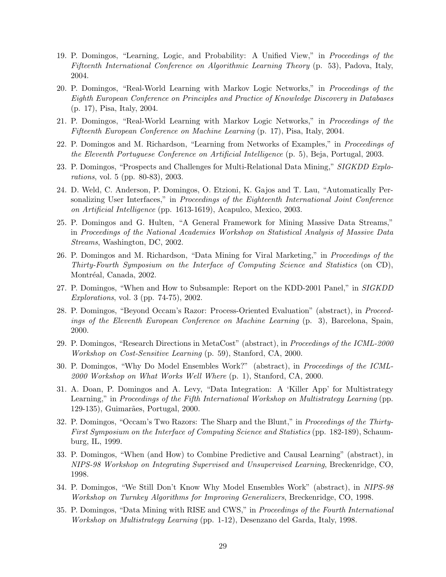- 19. P. Domingos, "Learning, Logic, and Probability: A Unified View," in Proceedings of the Fifteenth International Conference on Algorithmic Learning Theory (p. 53), Padova, Italy, 2004.
- 20. P. Domingos, "Real-World Learning with Markov Logic Networks," in Proceedings of the Eighth European Conference on Principles and Practice of Knowledge Discovery in Databases (p. 17), Pisa, Italy, 2004.
- 21. P. Domingos, "Real-World Learning with Markov Logic Networks," in Proceedings of the Fifteenth European Conference on Machine Learning (p. 17), Pisa, Italy, 2004.
- 22. P. Domingos and M. Richardson, "Learning from Networks of Examples," in Proceedings of the Eleventh Portuguese Conference on Artificial Intelligence (p. 5), Beja, Portugal, 2003.
- 23. P. Domingos, "Prospects and Challenges for Multi-Relational Data Mining," SIGKDD Explorations, vol. 5 (pp. 80-83), 2003.
- 24. D. Weld, C. Anderson, P. Domingos, O. Etzioni, K. Gajos and T. Lau, "Automatically Personalizing User Interfaces," in Proceedings of the Eighteenth International Joint Conference on Artificial Intelligence (pp. 1613-1619), Acapulco, Mexico, 2003.
- 25. P. Domingos and G. Hulten, "A General Framework for Mining Massive Data Streams," in Proceedings of the National Academies Workshop on Statistical Analysis of Massive Data Streams, Washington, DC, 2002.
- 26. P. Domingos and M. Richardson, "Data Mining for Viral Marketing," in Proceedings of the Thirty-Fourth Symposium on the Interface of Computing Science and Statistics (on CD), Montréal, Canada, 2002.
- 27. P. Domingos, "When and How to Subsample: Report on the KDD-2001 Panel," in SIGKDD Explorations, vol. 3 (pp. 74-75), 2002.
- 28. P. Domingos, "Beyond Occam's Razor: Process-Oriented Evaluation" (abstract), in Proceedings of the Eleventh European Conference on Machine Learning (p. 3), Barcelona, Spain, 2000.
- 29. P. Domingos, "Research Directions in MetaCost" (abstract), in Proceedings of the ICML-2000 Workshop on Cost-Sensitive Learning (p. 59), Stanford, CA, 2000.
- 30. P. Domingos, "Why Do Model Ensembles Work?" (abstract), in Proceedings of the ICML-2000 Workshop on What Works Well Where (p. 1), Stanford, CA, 2000.
- 31. A. Doan, P. Domingos and A. Levy, "Data Integration: A 'Killer App' for Multistrategy Learning," in Proceedings of the Fifth International Workshop on Multistrategy Learning (pp. 129-135), Guimarães, Portugal, 2000.
- 32. P. Domingos, "Occam's Two Razors: The Sharp and the Blunt," in Proceedings of the Thirty-First Symposium on the Interface of Computing Science and Statistics (pp. 182-189), Schaumburg, IL, 1999.
- 33. P. Domingos, "When (and How) to Combine Predictive and Causal Learning" (abstract), in NIPS-98 Workshop on Integrating Supervised and Unsupervised Learning, Breckenridge, CO, 1998.
- 34. P. Domingos, "We Still Don't Know Why Model Ensembles Work" (abstract), in NIPS-98 Workshop on Turnkey Algorithms for Improving Generalizers, Breckenridge, CO, 1998.
- 35. P. Domingos, "Data Mining with RISE and CWS," in Proceedings of the Fourth International Workshop on Multistrategy Learning (pp. 1-12), Desenzano del Garda, Italy, 1998.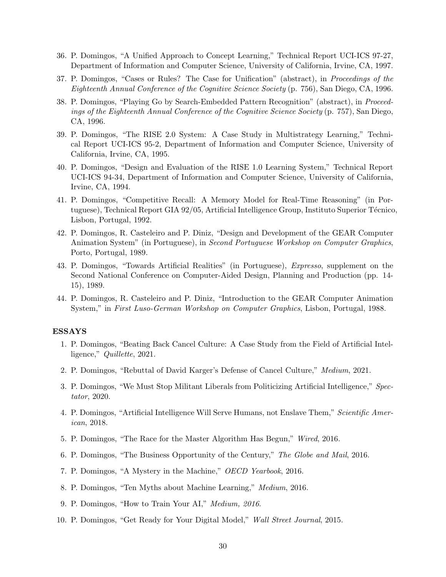- 36. P. Domingos, "A Unified Approach to Concept Learning," Technical Report UCI-ICS 97-27, Department of Information and Computer Science, University of California, Irvine, CA, 1997.
- 37. P. Domingos, "Cases or Rules? The Case for Unification" (abstract), in Proceedings of the Eighteenth Annual Conference of the Cognitive Science Society (p. 756), San Diego, CA, 1996.
- 38. P. Domingos, "Playing Go by Search-Embedded Pattern Recognition" (abstract), in Proceedings of the Eighteenth Annual Conference of the Cognitive Science Society (p. 757), San Diego, CA, 1996.
- 39. P. Domingos, "The RISE 2.0 System: A Case Study in Multistrategy Learning," Technical Report UCI-ICS 95-2, Department of Information and Computer Science, University of California, Irvine, CA, 1995.
- 40. P. Domingos, "Design and Evaluation of the RISE 1.0 Learning System," Technical Report UCI-ICS 94-34, Department of Information and Computer Science, University of California, Irvine, CA, 1994.
- 41. P. Domingos, "Competitive Recall: A Memory Model for Real-Time Reasoning" (in Portuguese), Technical Report GIA 92/05, Artificial Intelligence Group, Instituto Superior Técnico, Lisbon, Portugal, 1992.
- 42. P. Domingos, R. Casteleiro and P. Diniz, "Design and Development of the GEAR Computer Animation System" (in Portuguese), in Second Portuguese Workshop on Computer Graphics, Porto, Portugal, 1989.
- 43. P. Domingos, "Towards Artificial Realities" (in Portuguese), Expresso, supplement on the Second National Conference on Computer-Aided Design, Planning and Production (pp. 14- 15), 1989.
- 44. P. Domingos, R. Casteleiro and P. Diniz, "Introduction to the GEAR Computer Animation System," in First Luso-German Workshop on Computer Graphics, Lisbon, Portugal, 1988.

#### ESSAYS

- 1. P. Domingos, "Beating Back Cancel Culture: A Case Study from the Field of Artificial Intelligence," Quillette, 2021.
- 2. P. Domingos, "Rebuttal of David Karger's Defense of Cancel Culture," Medium, 2021.
- 3. P. Domingos, "We Must Stop Militant Liberals from Politicizing Artificial Intelligence," Spectator, 2020.
- 4. P. Domingos, "Artificial Intelligence Will Serve Humans, not Enslave Them," Scientific American, 2018.
- 5. P. Domingos, "The Race for the Master Algorithm Has Begun," Wired, 2016.
- 6. P. Domingos, "The Business Opportunity of the Century," The Globe and Mail, 2016.
- 7. P. Domingos, "A Mystery in the Machine," OECD Yearbook, 2016.
- 8. P. Domingos, "Ten Myths about Machine Learning," Medium, 2016.
- 9. P. Domingos, "How to Train Your AI," Medium, 2016.
- 10. P. Domingos, "Get Ready for Your Digital Model," Wall Street Journal, 2015.